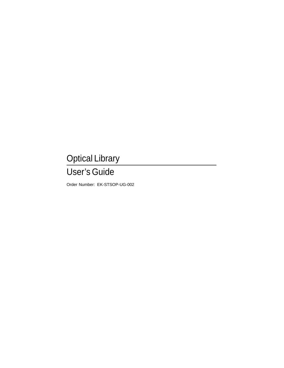# Optical Library

# User's Guide

Order Number: EK-STSOP-UG-002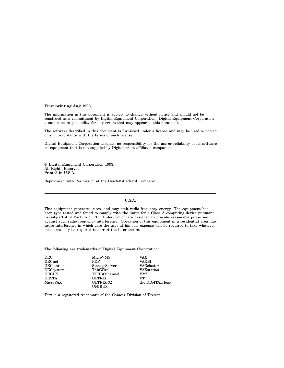#### **First printing Aug 1993**

The information in this document is subject to change without notice and should not be construed as a commitment by Digital Equipment Corporation. Digital Equipment Corporation assumes no responsibility for any errors that may appear in this document.

The software described in this document is furnished under a license and may be used or copied only in accordance with the terms of such license.

Digital Equipment Corporation assumes no responsibility for the use or reliability of its software on equipment that is not supplied by Digital or its affiliated companies.

© Digital Equipment Corporation 1993. All Rights Reserved Printed in U.S.A.

Reproduced with Permission of the Hewlett-Packard Company

#### U.S.A.

This equipment generates, uses, and may emit radio frequency energy. The equipment has been type tested and found to comply with the limits for a Class A computing device pursuant to Subpart J of Part 15 of FCC Rules, which are designed to provide reasonable protection against such radio frequency interference. Operation of this equipment in a residential area may cause interference in which case the user at his own expense will be required to take whatever measures may be required to correct the interference.

The following are trademarks of Digital Equipment Corporation:

| DEC               | MicroVMS      | VAX              |
|-------------------|---------------|------------------|
| <b>DECnet</b>     | <b>PDP</b>    | VAXBI            |
| <b>DECstation</b> | StorageServer | VAXcluster       |
| DECsystem         | ThinWire      | VAXstation       |
| <b>DECUS</b>      | TURBOchannel  | VMS              |
| <b>DESTA</b>      | <b>ULTRIX</b> | VT.              |
| MicroVAX          | ULTRIX-32     | the DIGITAL logo |
|                   | <b>UNIBUS</b> |                  |

Torx is a registered trademark of the Camcar Division of Textron.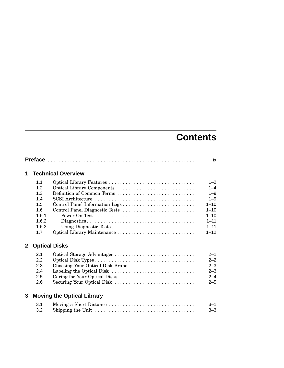# **Contents**

|                |                                                                   |                                                                                                                              | ix                                                                                                   |
|----------------|-------------------------------------------------------------------|------------------------------------------------------------------------------------------------------------------------------|------------------------------------------------------------------------------------------------------|
| 1              |                                                                   | <b>Technical Overview</b>                                                                                                    |                                                                                                      |
|                | 1.1<br>1.2<br>1.3<br>1.4<br>1.5<br>1.6<br>1.6.1<br>1.6.2<br>1.6.3 | Optical Library Features<br>Optical Library Components<br>Definition of Common Terms<br>Control Panel Diagnostic Tests       | $1 - 2$<br>$1 - 4$<br>$1 - 9$<br>$1 - 9$<br>$1 - 10$<br>$1 - 10$<br>$1 - 10$<br>$1 - 11$<br>$1 - 11$ |
| $\mathbf{2}^-$ | 1.7                                                               | Optical Library Maintenance<br><b>Optical Disks</b>                                                                          | $1 - 12$                                                                                             |
|                | 2.1<br>2.2<br>2.3<br>2.4<br>2.5<br>2.6                            | Choosing Your Optical Disk Brand<br>Labeling the Optical Disk<br>Caring for Your Optical Disks<br>Securing Your Optical Disk | $2 - 1$<br>$2 - 2$<br>$2 - 3$<br>$2 - 3$<br>$2 - 4$<br>$2 - 5$                                       |
| 3              |                                                                   | <b>Moving the Optical Library</b>                                                                                            |                                                                                                      |
|                | 3.1<br>3.2                                                        | Moving a Short Distance                                                                                                      | $3 - 1$<br>$3 - 3$                                                                                   |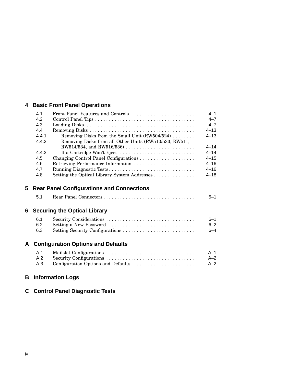# **4 Basic Front Panel Operations**

|   | 4.1   | Front Panel Features and Controls                      | $4 - 1$  |
|---|-------|--------------------------------------------------------|----------|
|   | 4.2   |                                                        | $4 - 7$  |
|   | 4.3   |                                                        | $4 - 7$  |
|   | 4.4   |                                                        | $4 - 13$ |
|   | 4.4.1 | Removing Disks from the Small Unit $(RW504/524)$       | $4 - 13$ |
|   | 4.4.2 | Removing Disks from all Other Units (RW510/530, RW511, |          |
|   |       | RW514/534, and RW516/536)                              | $4 - 14$ |
|   | 4.4.3 | If a Cartridge Won't Eject                             | $4 - 14$ |
|   | 4.5   |                                                        | $4 - 15$ |
|   | 4.6   | Retrieving Performance Information                     | $4 - 16$ |
|   | 4.7   | Running Diagnostic Tests                               | $4 - 16$ |
|   | 4.8   | Setting the Optical Library System Addresses           | $4 - 18$ |
| 5 |       | <b>Rear Panel Configurations and Connections</b>       |          |
|   | 5.1   | Rear Panel Connectors                                  | $5 - 1$  |
|   |       | <b>6 Securing the Optical Library</b>                  |          |
|   | 6.1   |                                                        | $6 - 1$  |
|   | 6.2   | Setting a New Password                                 | $6 - 2$  |
|   | 6.3   | Setting Security Configurations                        | $6 - 4$  |
| A |       | <b>Configuration Options and Defaults</b>              |          |
|   |       |                                                        |          |
|   | A.1   |                                                        | $A-1$    |
|   | A.2   | Security Configurations                                | $A - 2$  |
|   | A.3   | Configuration Options and Defaults                     | $A-2$    |

# **B Information Logs**

# **C Control Panel Diagnostic Tests**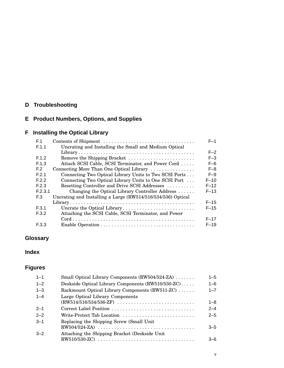# **D Troubleshooting**

# **E Product Numbers, Options, and Supplies**

# **F Installing the Optical Library**

| F.1            | Contents of Shipment                                         | $F-1$    |
|----------------|--------------------------------------------------------------|----------|
| F.1.1          | Uncrating and Installing the Small and Medium Optical        |          |
|                |                                                              | $F-2$    |
| F.1.2          | Remove the Shipping Bracket                                  | $F-3$    |
| F.1.3          | Attach SCSI Cable, SCSI Terminator, and Power Cord           | $F-6$    |
| F.2            | Connecting More Than One Optical Library                     | $F-8$    |
| F.2.1          | Connecting Two Optical Library Units to Two SCSI Ports       | $F-9$    |
| F.2.2          | Connecting Two Optical Library Units to One SCSI Port        | $F-10$   |
| F.2.3          | Resetting Controller and Drive SCSI Addresses                | $F-12$   |
| F.2.3.1        | Changing the Optical Library Controller Address              | $F-13$   |
| E <sub>3</sub> | Uncrating and Installing a Large (RW514/516/534/536) Optical |          |
|                |                                                              | $F-15$   |
| F.3.1          | Uncrate the Optical Library                                  | $F-15$   |
| F.3.2          | Attaching the SCSI Cable, SCSI Terminator, and Power         |          |
|                |                                                              | $F-17$   |
| E.3.3          |                                                              | $F - 19$ |
|                |                                                              |          |

# **Glossary**

## **Index**

# **Figures**

| $1 - 1$ | Small Optical Library Components (RW504/524-ZA)    | $1 - 5$ |
|---------|----------------------------------------------------|---------|
| $1 - 2$ | Deskside Optical Library Components (RW510/530-ZC) | $1 - 6$ |
| $1 - 3$ | Rackmount Optical Library Components (RW511-ZC)    | $1 - 7$ |
| $1 - 4$ | Large Optical Library Components                   | $1 - 8$ |
| $2 - 1$ |                                                    | $2 - 4$ |
| $2 - 2$ | Write-Protect Tab Location                         | $2 - 5$ |
| $-3-1$  | Replacing the Shipping Screw (Small Unit)          | $3 - 5$ |
| $-3-2$  | Attaching the Shipping Bracket (Deskside Unit      | $-6$    |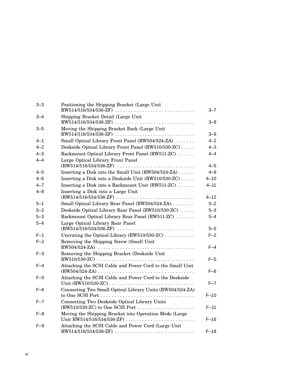| $3 - 3$ | Positioning the Shipping Bracket (Large Unit                                                                                                               | $3 - 7$  |
|---------|------------------------------------------------------------------------------------------------------------------------------------------------------------|----------|
| $3 - 4$ | Shipping Bracket Detail (Large Unit<br>RW514/516/534/536-ZF)                                                                                               | $3 - 8$  |
| $3 - 5$ | Moving the Shipping Bracket Back (Large Unit                                                                                                               | $3 - 9$  |
| $4 - 1$ | Small Optical Library Front Panel (RW504/524-ZA)                                                                                                           | $4 - 2$  |
| $4 - 2$ | Deskside Optical Library Front Panel (RW510/530-ZC)                                                                                                        | $4 - 3$  |
| $4 - 3$ | Rackmount Optical Library Front Panel (RW511-ZC)                                                                                                           | 4–4      |
| $4 - 4$ | Large Optical Library Front Panel                                                                                                                          | $4 - 5$  |
| $4 - 5$ | Inserting a Disk into the Small Unit (RW504/524-ZA)                                                                                                        | $4 - 9$  |
| $4 - 6$ | Inserting a Disk into a Deskside Unit (RW510/530-ZC)                                                                                                       | $4 - 10$ |
| $4 - 7$ | Inserting a Disk into a Rackmount Unit (RW511-ZC)                                                                                                          | 4-11     |
| $4 - 8$ | Inserting a Disk into a Large Unit<br>$(RW514/516/534/536-ZF) \ldots \ldots \ldots \ldots \ldots \ldots \ldots \ldots \ldots$                              | $4 - 12$ |
| $5 - 1$ | Small Optical Library Rear Panel (RW504/524-ZA)                                                                                                            | $5 - 2$  |
| $5 - 2$ | Deskside Optical Library Rear Panel (RW510/530-ZC)                                                                                                         | $5 - 3$  |
| $5 - 3$ | Rackmount Optical Library Rear Panel (RW511-ZC)                                                                                                            | $5 - 4$  |
| $5 - 4$ | Large Optical Library Rear Panel<br>$(RW514/516/534/536-ZF) \ldots \ldots \ldots \ldots \ldots \ldots \ldots \ldots \ldots$                                | $5 - 5$  |
| $F-1$   | Uncrating the Optical Library (RW510/530-ZC)                                                                                                               | $F-2$    |
| $F-2$   | Removing the Shipping Screw (Small Unit                                                                                                                    | $F-4$    |
| $F-3$   | Removing the Shipping Bracket (Deskside Unit                                                                                                               |          |
|         |                                                                                                                                                            | $F-5$    |
| $F-4$   | Attaching the SCSI Cable and Power Cord to the Small Unit<br>$(RW504/524-ZA) \ldots \ldots \ldots \ldots \ldots \ldots \ldots \ldots \ldots \ldots \ldots$ | $F-6$    |
| $F-5$   | Attaching the SCSI Cable and Power Cord to the Deskside                                                                                                    | $F - 7$  |
| $F-6$   | Connecting Two Small Optical Library Units (RW504/524-ZA)                                                                                                  | $F-10$   |
| $F - 7$ | Connecting Two Deskside Optical Library Units<br>(RW510/530-ZC) to One SCSI Port                                                                           | $F-11$   |
| $F-8$   | Moving the Shipping Bracket into Operation Mode (Large                                                                                                     | $F-16$   |
| $F-9$   | Attaching the SCSI Cable and Power Cord (Large Unit                                                                                                        | $F-18$   |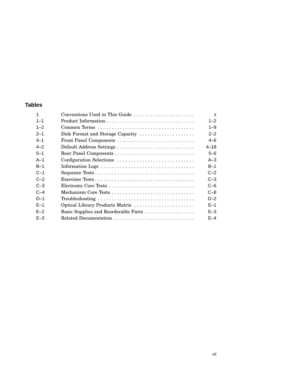### **Tables**

|         | Conventions Used in This Guide       | X        |
|---------|--------------------------------------|----------|
| $1 - 1$ |                                      | $1 - 2$  |
| $1 - 2$ | Common Terms                         | $1 - 9$  |
| $2 - 1$ | Disk Format and Storage Capacity     | $2 - 2$  |
| $4 - 1$ |                                      | $4 - 6$  |
| $4 - 2$ | Default Address Settings             | $4 - 18$ |
| $5 - 1$ |                                      | $5 - 6$  |
| $A-1$   | Configuration Selections             | $A-3$    |
| $B-1$   |                                      | $B-1$    |
| $C-1$   |                                      | $C-2$    |
| $C-2$   |                                      | $C-3$    |
| $C-3$   |                                      | $C - 6$  |
| $C-4$   |                                      | $C - 8$  |
| $D-1$   |                                      | $D-2$    |
| $F-1$   | Optical Library Products Matrix      | $E-1$    |
| $F-2$   | Basic Supplies and Reorderable Parts | $E - 3$  |
| $E - 3$ | Related Documentation                | $F-4$    |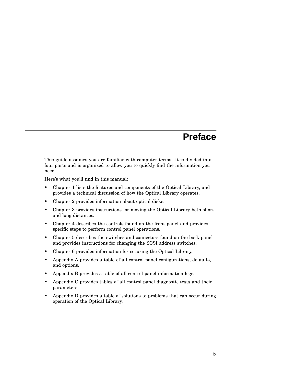# **Preface**

This guide assumes you are familiar with computer terms. It is divided into four parts and is organized to allow you to quickly find the information you need.

Here's what you'll find in this manual:

- Chapter 1 lists the features and components of the Optical Library, and provides a technical discussion of how the Optical Library operates.
- Chapter 2 provides information about optical disks.
- Chapter 3 provides instructions for moving the Optical Library both short and long distances.
- Chapter 4 describes the controls found on the front panel and provides specific steps to perform control panel operations.
- Chapter 5 describes the switches and connectors found on the back panel and provides instructions for changing the SCSI address switches.
- Chapter 6 provides information for securing the Optical Library.
- Appendix A provides a table of all control panel configurations, defaults, and options.
- Appendix B provides a table of all control panel information logs.
- Appendix C provides tables of all control panel diagnostic tests and their parameters.
- Appendix D provides a table of solutions to problems that can occur during operation of the Optical Library.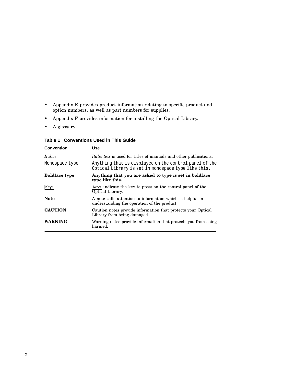- Appendix E provides product information relating to specific product and option numbers, as well as part numbers for supplies.
- Appendix F provides information for installing the Optical Library.
- A glossary

| <b>Table 1 Conventions Used in This Guide</b> |  |  |  |
|-----------------------------------------------|--|--|--|
|-----------------------------------------------|--|--|--|

| <b>Convention</b>    | Use                                                                                                           |
|----------------------|---------------------------------------------------------------------------------------------------------------|
| <i>Italics</i>       | <i>Italic text</i> is used for titles of manuals and other publications.                                      |
| Monospace type       | Anything that is displayed on the control panel of the<br>Optical Library is set in monospace type like this. |
| <b>Boldface type</b> | Anything that you are asked to type is set in boldface<br>type like this.                                     |
| Keys                 | Keys indicate the key to press on the control panel of the<br>Optical Library.                                |
| <b>Note</b>          | A note calls attention to information which is helpful in<br>understanding the operation of the product.      |
| <b>CAUTION</b>       | Caution notes provide information that protects your Optical<br>Library from being damaged.                   |
| WARNING              | Warning notes provide information that protects you from being<br>harmed.                                     |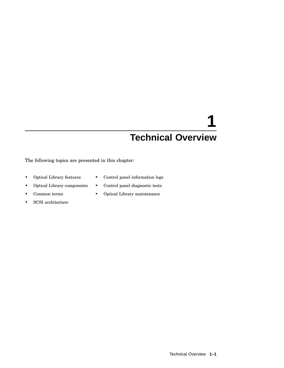# **1 Technical Overview**

The following topics are presented in this chapter:

- Optical Library features
- Control panel information logs

• Control panel diagnostic tests

- Optical Library components
- Common terms
- Optical Library maintenance
- SCSI architecture

Technical Overview **1–1**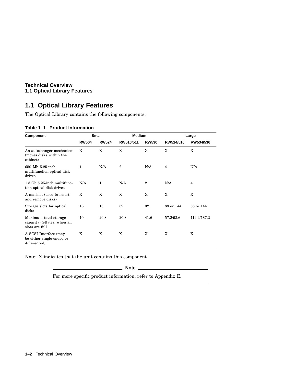#### **Technical Overview 1.1 Optical Library Features**

## **1.1 Optical Library Features**

The Optical Library contains the following components:

#### **Table 1–1 Product Information**

| Component                                                             | <b>Small</b> |              | <b>Medium</b> |                | Large          |             |
|-----------------------------------------------------------------------|--------------|--------------|---------------|----------------|----------------|-------------|
|                                                                       | <b>RW504</b> | <b>RW524</b> | RW510/511     | <b>RW530</b>   | RW514/516      | RW534/536   |
| An autochanger mechanism<br>(moves disks within the<br>cabinet)       | X            | X            | X             | X              | X              | X           |
| 650 Mb 5.25-inch<br>multifunction optical disk<br>drives              | $\mathbf{1}$ | N/A          | $\mathbf{2}$  | N/A            | $\overline{4}$ | N/A         |
| 1.3 Gb 5.25-inch multifunc-<br>tion optical disk drives               | N/A          | $\mathbf{1}$ | N/A           | $\overline{2}$ | N/A            | 4           |
| A mails ot (used to insert)<br>and remove disks)                      | X            | X            | X             | X              | X              | X           |
| Storage slots for optical<br>disks                                    | 16           | 16           | 32            | 32             | 88 or 144      | 88 or 144   |
| Maximum total storage<br>capacity (GBytes) when all<br>slots are full | 10.4         | 20.8         | 20.8          | 41.6           | 57.2/93.6      | 114.4/187.2 |
| A SCSI Interface (may<br>be either single-ended or<br>differential)   | X            | X            | X             | X              | X              | X           |

Note: X indicates that the unit contains this component.

**Note**

For more specific product information, refer to Appendix E.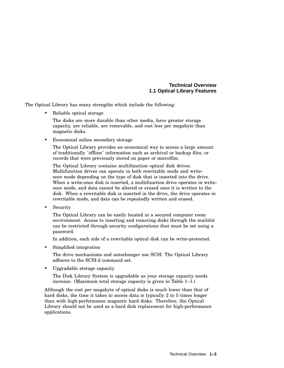#### **Technical Overview 1.1 Optical Library Features**

The Optical Library has many strengths which include the following:

Reliable optical storage

The disks are more durable than other media, have greater storage capacity, are reliable, are removable, and cost less per megabyte than magnetic disks.

Economical online secondary storage

The Optical Library provides an economical way to access a large amount of traditionally "offline" information such as archival or backup files, or records that were previously stored on paper or microfilm.

The Optical Library contains multifunction optical disk drives. Multifunction drives can operate in both rewritable mode and writeonce mode depending on the type of disk that is inserted into the drive. When a write-once disk is inserted, a multifunction drive operates in writeonce mode, and data cannot be altered or erased once it is written to the disk. When a rewritable disk is inserted in the drive, the drive operates in rewritable mode, and data can be repeatedly written and erased.

**Security** 

The Optical Library can be easily located in a secured computer room environment. Access to inserting and removing disks through the mailslot can be restricted through security configurations that must be set using a password.

In addition, each side of a rewritable optical disk can be write-protected.

• Simplified integration

The drive mechanisms and autochanger use SCSI. The Optical Library adheres to the SCSI-2 command set.

• Upgradable storage capacity

The Disk Library System is upgradable as your storage capacity needs increase. (Maximum total storage capacity is given in Table 1–1.)

Although the cost per megabyte of optical disks is much lower than that of hard disks, the time it takes to access data is typically 2 to 5 times longer than with high-performance magnetic hard disks. Therefore, the Optical Library should not be used as a hard disk replacement for high-performance applications.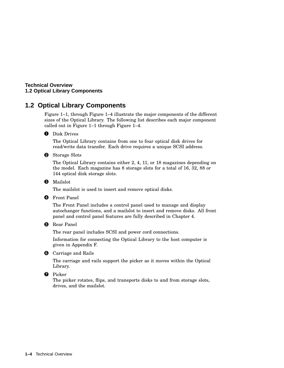#### **Technical Overview 1.2 Optical Library Components**

## **1.2 Optical Library Components**

Figure 1–1, through Figure 1–4 illustrate the major components of the different sizes of the Optical Library. The following list describes each major component called out in Figure 1–1 through Figure 1–4.

#### **O** Disk Drives

The Optical Library contains from one to four optical disk drives for read/write data transfer. Each drive requires a unique SCSI address.

**2** Storage Slots

The Optical Library contains either 2, 4, 11, or 18 magazines depending on the model. Each magazine has 8 storage slots for a total of 16, 32, 88 or 144 optical disk storage slots.

**O** Mailslot

The mailslot is used to insert and remove optical disks.

#### **O** Front Panel

The Front Panel includes a control panel used to manage and display autochanger functions, and a mailslot to insert and remove disks. All front panel and control panel features are fully described in Chapter 4.

#### **6** Rear Panel

The rear panel includes SCSI and power cord connections.

Information for connecting the Optical Library to the host computer is given in Appendix F.

#### **6** Carriage and Rails

The carriage and rails support the picker as it moves within the Optical Library.

#### **O** Picker

The picker rotates, flips, and transports disks to and from storage slots, drives, and the mailslot.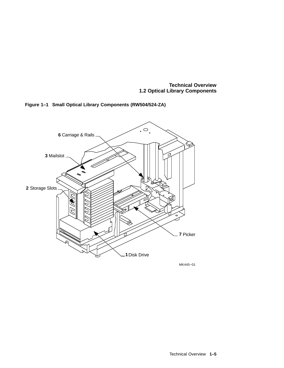**Technical Overview 1.2 Optical Library Components**





MK445−01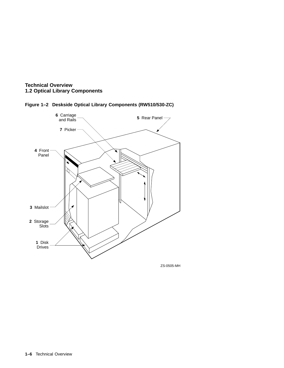





ZS-0505-MH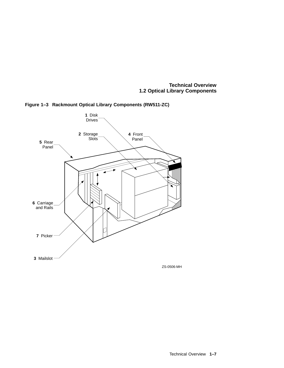**Technical Overview 1.2 Optical Library Components**



**Figure 1–3 Rackmount Optical Library Components (RW511-ZC)**

ZS-0506-MH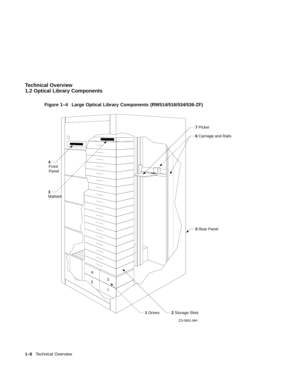



#### **Figure 1–4 Large Optical Library Components (RW514/516/534/536-ZF)**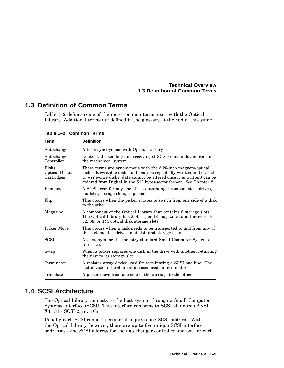#### **Technical Overview 1.3 Definition of Common Terms**

## **1.3 Definition of Common Terms**

Table 1–2 defines some of the more common terms used with the Optical Library. Additional terms are defined in the glossary at the end of this guide.

| Term                                   | <b>Definition</b>                                                                                                                                                                                                                                                                     |
|----------------------------------------|---------------------------------------------------------------------------------------------------------------------------------------------------------------------------------------------------------------------------------------------------------------------------------------|
| Autochanger                            | A term synonymous with Optical Library.                                                                                                                                                                                                                                               |
| Autochanger<br>Controller              | Controls the sending and receiving of SCSI commands and controls<br>the mechanical system.                                                                                                                                                                                            |
| Disks,<br>Optical Disks,<br>Cartridges | These terms are synonymous with the 5.25-inch magneto-optical<br>disks. Rewritable disks (data can be repeatedly written and erased)<br>or write-once disks (data cannot be altered once it is written) can be<br>ordered from Digital in the 512 bytes/sector format. See Chapter 2. |
| Element                                | A SCSI term for any one of the autochanger components – drives,<br>mails ot, storage slots, or picker.                                                                                                                                                                                |
| Flip                                   | This occurs when the picker rotates to switch from one side of a disk<br>to the other.                                                                                                                                                                                                |
| Magazine                               | A component of the Optical Library that contains 8 storage slots.<br>The Optical Library has 2, 4, 11, or 18 magazines and therefore 16,<br>32, 88, or 144 optical disk storage slots.                                                                                                |
| <b>Picker Move</b>                     | This occurs when a disk needs to be transported to and from any of<br>these elements—drives, mails ot, and storage slots.                                                                                                                                                             |
| SCSI                                   | An acronym for the industry-standard Small Computer Systems<br>Interface.                                                                                                                                                                                                             |
| Swap                                   | When a picker replaces one disk in the drive with another, returning<br>the first to its storage slot.                                                                                                                                                                                |
| Terminator                             | A resistor array device used for terminating a SCSI bus line. The<br>last device in the chain of devices needs a terminator.                                                                                                                                                          |
| Translate                              | A picker move from one side of the carriage to the other.                                                                                                                                                                                                                             |

**Table 1–2 Common Terms**

## **1.4 SCSI Architecture**

The Optical Library connects to the host system through a Small Computer Systems Interface (SCSI). This interface conforms to SCSI standards ANSI X3.131 - SCSI-2, rev 10h.

Usually each SCSI-connect peripheral requires one SCSI address. With the Optical Library, however, there are up to five unique SCSI interface addresses—one SCSI address for the autochanger controller and one for each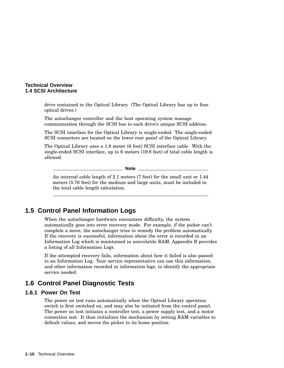#### **Technical Overview 1.4 SCSI Architecture**

drive contained in the Optical Library. (The Optical Library has up to four optical drives.)

The autochanger controller and the host operating system manage communication through the SCSI bus to each drive's unique SCSI address.

The SCSI interface for the Optical Library is single-ended. The single-ended SCSI connectors are located on the lower rear panel of the Optical Library.

The Optical Library uses a 1.8 meter (6 foot) SCSI interface cable. With the single-ended SCSI interface, up to 6 meters (19.8 feet) of total cable length is allowed.

**Note**

An internal cable length of 2.1 meters (7 feet) for the small unit or 1.44 meters (5.76 feet) for the medium and large units, must be included in the total cable length calculation.

# **1.5 Control Panel Information Logs**

When the autochanger hardware encounters difficulty, the system automatically goes into error recovery mode. For example, if the picker can't complete a move, the autochanger tries to remedy the problem automatically. If the recovery is successful, information about the error is recorded in an Information Log which is maintained in nonvolatile RAM. Appendix B provides a listing of all Information Logs.

If the attempted recovery fails, information about how it failed is also passed to an Information Log. Your service representative can use this information, and other information recorded in information logs, to identify the appropriate service needed.

# **1.6 Control Panel Diagnostic Tests**

#### **1.6.1 Power On Test**

The power on test runs automatically when the Optical Library operation switch is first switched on, and may also be initiated from the control panel. The power on test initiates a controller test, a power supply test, and a motor connection test. It then initializes the mechanism by setting RAM variables to default values, and moves the picker to its home position.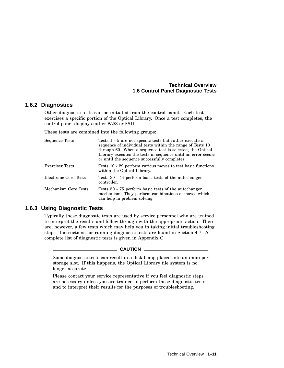#### **Technical Overview 1.6 Control Panel Diagnostic Tests**

#### **1.6.2 Diagnostics**

Other diagnostic tests can be initiated from the control panel. Each test exercises a specific portion of the Optical Library. Once a test completes, the control panel displays either PASS or FAIL.

These tests are combined into the following groups:

| Sequence Tests        | Tests 1 - 5 are not specific tests but rather execute a<br>sequence of individual tests within the range of Tests 10<br>through 60. When a sequence test is selected, the Optical<br>Library executes the tests in sequence until an error occurs<br>or until the sequence successfully completes. |
|-----------------------|----------------------------------------------------------------------------------------------------------------------------------------------------------------------------------------------------------------------------------------------------------------------------------------------------|
| Exerciser Tests       | Tests 10 - 29 perform various moves to test basic functions<br>within the Optical Library.                                                                                                                                                                                                         |
| Electronic Core Tests | Tests 30 - 44 perform basic tests of the autochanger<br>controller.                                                                                                                                                                                                                                |
| Mechanism Core Tests  | Tests 50 - 75 perform basic tests of the autochanger<br>mechanism. They perform combinations of moves which<br>can help in problem solving.                                                                                                                                                        |

#### **1.6.3 Using Diagnostic Tests**

Typically these diagnostic tests are used by service personnel who are trained to interpret the results and follow through with the appropriate action. There are, however, a few tests which may help you in taking initial troubleshooting steps. Instructions for running diagnostic tests are found in Section 4.7. A complete list of diagnostic tests is given in Appendix C.

#### **CAUTION**

Some diagnostic tests can result in a disk being placed into an improper storage slot. If this happens, the Optical Library file system is no longer accurate.

Please contact your service representative if you feel diagnostic steps are necessary unless you are trained to perform these diagnostic tests and to interpret their results for the purposes of troubleshooting.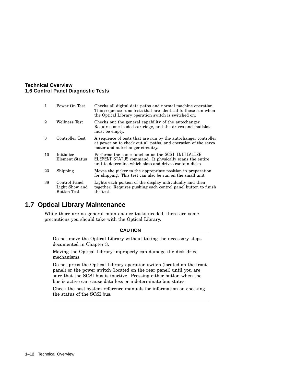#### **Technical Overview 1.6 Control Panel Diagnostic Tests**

| $\mathbf{1}$ | Power On Test                                  | Checks all digital data paths and normal machine operation.<br>This sequence runs tests that are identical to those run when<br>the Optical Library operation switch is switched on. |
|--------------|------------------------------------------------|--------------------------------------------------------------------------------------------------------------------------------------------------------------------------------------|
| 2            | Wellness Test                                  | Checks out the general capability of the autochanger.<br>Requires one loaded cartridge, and the drives and mailslot<br>must be empty.                                                |
| 3            | Controller Test                                | A sequence of tests that are run by the autochanger controller<br>at power on to check out all paths, and operation of the servo<br>motor and autochanger circuitry.                 |
| 10           | Initialize<br>Element Status                   | Performs the same function as the SCSI INITIALIZE<br>ELEMENT STATUS command. It physically scans the entire<br>unit to determine which slots and drives contain disks.               |
| 23           | Shipping                                       | Moves the picker to the appropriate position in preparation<br>for shipping. This test can also be run on the small unit                                                             |
| 38           | Control Panel<br>Light Show and<br>Button Test | Lights each portion of the display individually and then<br>together. Requires pushing each control panel button to finish<br>the test.                                              |

## **1.7 Optical Library Maintenance**

While there are no general maintenance tasks needed, there are some precautions you should take with the Optical Library.

#### $\overline{\phantom{a}}$  CAUTION  $\overline{\phantom{a}}$

Do not move the Optical Library without taking the necessary steps documented in Chapter 3.

Moving the Optical Library improperly can damage the disk drive mechanisms.

Do not press the Optical Library operation switch (located on the front panel) or the power switch (located on the rear panel) until you are sure that the SCSI bus is inactive. Pressing either button when the bus is active can cause data loss or indeterminate bus states.

Check the host system reference manuals for information on checking the status of the SCSI bus.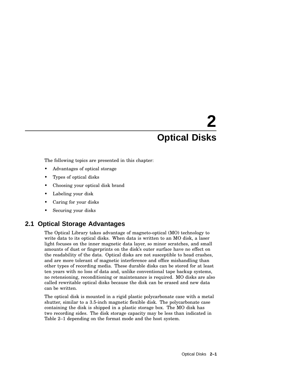# **2 Optical Disks**

The following topics are presented in this chapter:

- Advantages of optical storage
- Types of optical disks
- Choosing your optical disk brand
- Labeling your disk
- Caring for your disks
- Securing your disks

## **2.1 Optical Storage Advantages**

The Optical Library takes advantage of magneto-optical (MO) technology to write data to its optical disks. When data is written to an MO disk, a laser light focuses on the inner magnetic data layer, so minor scratches, and small amounts of dust or fingerprints on the disk's outer surface have no effect on the readability of the data. Optical disks are not susceptible to head crashes, and are more tolerant of magnetic interference and office mishandling than other types of recording media. These durable disks can be stored for at least ten years with no loss of data and, unlike conventional tape backup systems, no retensioning, reconditioning or maintenance is required. MO disks are also called rewritable optical disks because the disk can be erased and new data can be written.

The optical disk is mounted in a rigid plastic polycarbonate case with a metal shutter, similar to a 3.5-inch magnetic flexible disk. The polycarbonate case containing the disk is shipped in a plastic storage box. The MO disk has two recording sides. The disk storage capacity may be less than indicated in Table 2–1 depending on the format mode and the host system.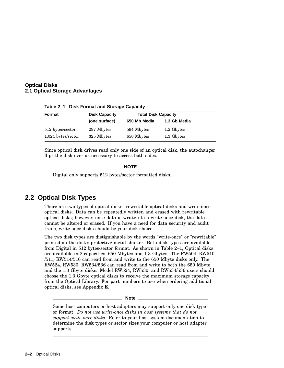#### **Optical Disks 2.1 Optical Storage Advantages**

| Format               | <b>Disk Capacity</b> | <b>Total Disk Capacity</b> |              |  |
|----------------------|----------------------|----------------------------|--------------|--|
|                      | (one surface)        | 650 Mb Media               | 1.3 Gb Media |  |
| 512 bytes/sector     | 297 Mbytes           | 594 Mbytes                 | 1.2 Gbytes   |  |
| $1,024$ bytes/sector | 325 Mbytes           | 650 Mbytes                 | 1.3 Gbytes   |  |

**Table 2–1 Disk Format and Storage Capacity**

Since optical disk drives read only one side of an optical disk, the autochanger flips the disk over as necessary to access both sides.

**NOTE**

Digital only supports 512 bytes/sector formatted disks.

## **2.2 Optical Disk Types**

There are two types of optical disks: rewritable optical disks and write-once optical disks. Data can be repeatedly written and erased with rewritable optical disks; however, once data is written to a write-once disk, the data cannot be altered or erased. If you have a need for data security and audit trails, write-once disks should be your disk choice.

The two disk types are distiguishable by the words "write-once" or "rewritable" printed on the disk's protective metal shutter. Both disk types are available from Digital in 512 bytes/sector format. As shown in Table 2–1, Optical disks are available in 2 capacities, 650 Mbytes and 1.3 Gbytes. The RW504, RW510 /511, RW514/516 can read from and write to the 650 Mbyte disks only. The RW524, RW530, RW534/536 can read from and write to both the 650 Mbyte and the 1.3 Gbyte disks. Model RW524, RW530, and RW534/536 users should choose the 1.3 Gbyte optical disks to receive the maximum storage capacity from the Optical Library. For part numbers to use when ordering additional optical disks, see Appendix E.

**Note**

Some host computers or host adapters may support only one disk type or format. *Do not use write-once disks in host systems that do not support write-once disks.* Refer to your host system documentation to determine the disk types or sector sizes your computer or host adapter supports.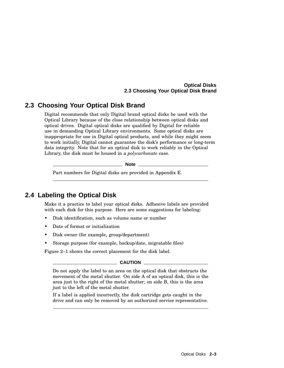#### **Optical Disks 2.3 Choosing Your Optical Disk Brand**

## **2.3 Choosing Your Optical Disk Brand**

Digital recommends that only Digital brand optical disks be used with the Optical Library because of the close relationship between optical disks and optical drives. Digital optical disks are qualified by Digital for reliable use in demanding Optical Library environments. Some optical disks are inappropriate for use in Digital optical products, and while they might seem to work initially, Digital cannot guarantee the disk's performance or long-term data integrity. Note that for an optical disk to work reliably in the Optical Library, the disk must be housed in a *polycarbonate* case.

**Note**

Part numbers for Digital disks are provided in Appendix E.

## **2.4 Labeling the Optical Disk**

Make it a practice to label your optical disks. Adhesive labels are provided with each disk for this purpose. Here are some suggestions for labeling:

- Disk identification, such as volume name or number
- Date of format or initialization
- Disk owner (for example, group/department)
- Storage purpose (for example, backup/date, migratable files)

Figure 2–1 shows the correct placement for the disk label.

#### $\_$  CAUTION  $\_$

Do not apply the label to an area on the optical disk that obstructs the movement of the metal shutter. On side A of an optical disk, this is the area just to the right of the metal shutter; on side B, this is the area just to the left of the metal shutter.

If a label is applied incorrectly, the disk cartridge gets caught in the drive and can only be removed by an authorized service representative.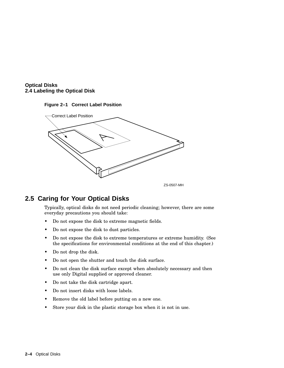





ZS-0507-MH

# **2.5 Caring for Your Optical Disks**

Typically, optical disks do not need periodic cleaning; however, there are some everyday precautions you should take:

- Do not expose the disk to extreme magnetic fields.
- Do not expose the disk to dust particles.
- Do not expose the disk to extreme temperatures or extreme humidity. (See the specifications for environmental conditions at the end of this chapter.)
- Do not drop the disk.
- Do not open the shutter and touch the disk surface.
- Do not clean the disk surface except when absolutely necessary and then use only Digital supplied or approved cleaner.
- Do not take the disk cartridge apart.
- Do not insert disks with loose labels.
- Remove the old label before putting on a new one.
- Store your disk in the plastic storage box when it is not in use.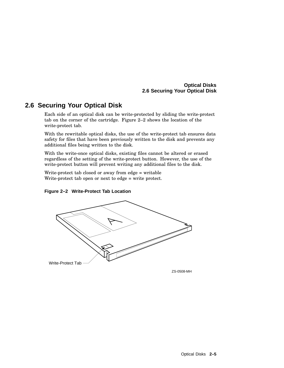#### **Optical Disks 2.6 Securing Your Optical Disk**

## **2.6 Securing Your Optical Disk**

Each side of an optical disk can be write-protected by sliding the write-protect tab on the corner of the cartridge. Figure 2–2 shows the location of the write-protect tab.

With the rewritable optical disks, the use of the write-protect tab ensures data safety for files that have been previously written to the disk and prevents any additional files being written to the disk.

With the write-once optical disks, existing files cannot be altered or erased regardless of the setting of the write-protect button. However, the use of the write-protect button will prevent writing any additional files to the disk.

Write-protect tab closed or away from edge = writable Write-protect tab open or next to edge = write protect.

#### **Figure 2–2 Write-Protect Tab Location**



ZS-0508-MH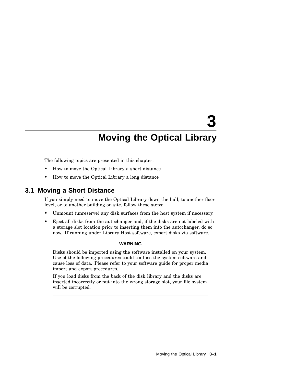# **3**

# **Moving the Optical Library**

The following topics are presented in this chapter:

- How to move the Optical Library a short distance
- How to move the Optical Library a long distance

### **3.1 Moving a Short Distance**

If you simply need to move the Optical Library down the hall, to another floor level, or to another building on site, follow these steps:

- Unmount (unreserve) any disk surfaces from the host system if necessary.
- Eject all disks from the autochanger and, if the disks are not labeled with a storage slot location prior to inserting them into the autochanger, do so now. If running under Library Host software, export disks via software.

#### **WARNING**

Disks should be imported using the software installed on your system. Use of the following procedures could confuse the system software and cause loss of data. Please refer to your software guide for proper media import and export procedures.

If you load disks from the back of the disk library and the disks are inserted incorrectly or put into the wrong storage slot, your file system will be corrupted.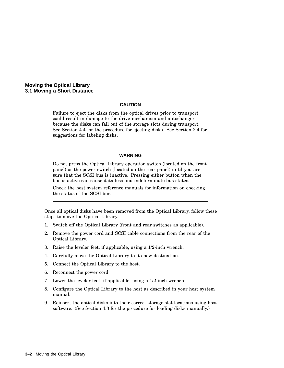**Moving the Optical Library 3.1 Moving a Short Distance**

#### **CAUTION**

Failure to eject the disks from the optical drives prior to transport could result in damage to the drive mechanism and autochanger because the disks can fall out of the storage slots during transport. See Section 4.4 for the procedure for ejecting disks. See Section 2.4 for suggestions for labeling disks.

#### **WARNING**

Do not press the Optical Library operation switch (located on the front panel) or the power switch (located on the rear panel) until you are sure that the SCSI bus is inactive. Pressing either button when the bus is active can cause data loss and indeterminate bus states.

Check the host system reference manuals for information on checking the status of the SCSI bus.

Once all optical disks have been removed from the Optical Library, follow these steps to move the Optical Library.

- 1. Switch off the Optical Library (front and rear switches as applicable).
- 2. Remove the power cord and SCSI cable connections from the rear of the Optical Library.
- 3. Raise the leveler feet, if applicable, using a 1/2-inch wrench.
- 4. Carefully move the Optical Library to its new destination.
- 5. Connect the Optical Library to the host.
- 6. Reconnect the power cord.
- 7. Lower the leveler feet, if applicable, using a 1/2-inch wrench.
- 8. Configure the Optical Library to the host as described in your host system manual.
- 9. Reinsert the optical disks into their correct storage slot locations using host software. (See Section 4.3 for the procedure for loading disks manually.)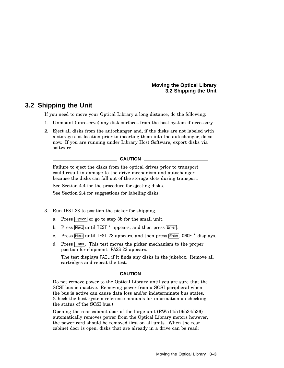## **3.2 Shipping the Unit**

If you need to move your Optical Library a long distance, do the following:

- 1. Unmount (unreserve) any disk surfaces from the host system if necessary.
- 2. Eject all disks from the autochanger and, if the disks are not labeled with a storage slot location prior to inserting them into the autochanger, do so now. If you are running under Library Host Software, export disks via software.

#### **CAUTION**

Failure to eject the disks from the optical drives prior to transport could result in damage to the drive mechanism and autochanger because the disks can fall out of the storage slots during transport.

See Section 4.4 for the procedure for ejecting disks.

See Section 2.4 for suggestions for labeling disks.

- 3. Run TEST 23 to position the picker for shipping.
	- a. Press Option or go to step 3b for the small unit.
	- b. Press Next until TEST \* appears, and then press Enter.
	- c. Press  $\overline{\text{Next}}$  until TEST 23 appears, and then press  $\overline{\text{Enter}}$ , ONCE  $*$  displays.
	- d. Press Enter. This test moves the picker mechanism to the proper position for shipment. PASS 23 appears.

The test displays FAIL if it finds any disks in the jukebox. Remove all cartridges and repeat the test.

#### **CAUTION**

Do not remove power to the Optical Library until you are sure that the SCSI bus is inactive. Removing power from a SCSI peripheral when the bus is active can cause data loss and/or indeterminate bus states. (Check the host system reference manuals for information on checking the status of the SCSI bus.)

Opening the rear cabinet door of the large unit (RW514/516/534/536) automatically removes power from the Optical Library motors however, the power cord should be removed first on all units. When the rear cabinet door is open, disks that are already in a drive can be read;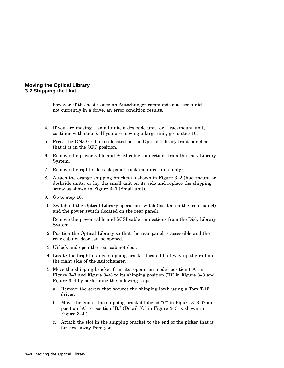however, if the host issues an Autochanger command to access a disk not currently in a drive, an error condition results.

- 4. If you are moving a small unit, a deskside unit, or a rackmount unit, continue with step 5. If you are moving a large unit, go to step 10.
- 5. Press the ON/OFF button located on the Optical Library front panel so that it is in the OFF position.
- 6. Remove the power cable and SCSI cable connections from the Disk Library System.
- 7. Remove the right side rack panel (rack-mounted units only).
- 8. Attach the orange shipping bracket as shown in Figure 3–2 (Rackmount or deskside units) or lay the small unit on its side and replace the shipping screw as shown in Figure 3–1 (Small unit).
- 9. Go to step 16.
- 10. Switch off the Optical Library operation switch (located on the front panel) and the power switch (located on the rear panel).
- 11. Remove the power cable and SCSI cable connections from the Disk Library System.
- 12. Position the Optical Library so that the rear panel is accessible and the rear cabinet door can be opened.
- 13. Unlock and open the rear cabinet door.
- 14. Locate the bright orange shipping bracket located half way up the rail on the right side of the Autochanger.
- 15. Move the shipping bracket from its "operation mode" position ("A" in Figure 3–3 and Figure 3–4) to its shipping position ("B" in Figure 3–3 and Figure 3–4 by performing the following steps:
	- a. Remove the screw that secures the shipping latch using a Torx T-15 driver.
	- b. Move the end of the shipping bracket labeled "C" in Figure 3–3, from position "A" to position "B." (Detail "C" in Figure 3–3 is shown in Figure 3–4.)
	- c. Attach the slot in the shipping bracket to the end of the picker that is farthest away from you.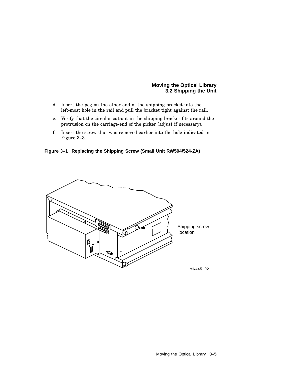- d. Insert the peg on the other end of the shipping bracket into the left-most hole in the rail and pull the bracket tight against the rail.
- e. Verify that the circular cut-out in the shipping bracket fits around the protrusion on the carriage-end of the picker (adjust if necessary).
- f. Insert the screw that was removed earlier into the hole indicated in Figure 3–3.

**Figure 3–1 Replacing the Shipping Screw (Small Unit RW504/524-ZA)**

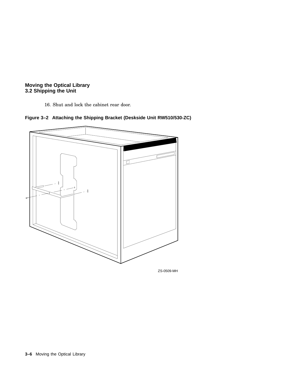16. Shut and lock the cabinet rear door.





**3–6** Moving the Optical Library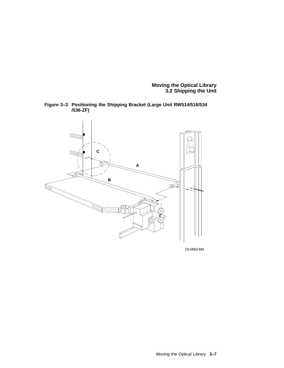



ZS-0663-MH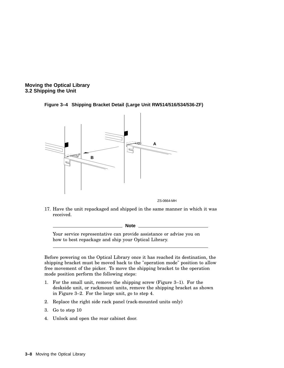





ZS-0664-MH

17. Have the unit repackaged and shipped in the same manner in which it was received.

**Note**

Your service representative can provide assistance or advise you on how to best repackage and ship your Optical Library.

Before powering on the Optical Library once it has reached its destination, the shipping bracket must be moved back to the "operation mode" position to allow free movement of the picker. To move the shipping bracket to the operation mode position perform the following steps:

- 1. For the small unit, remove the shipping screw (Figure 3–1). For the deskside unit, or rackmount units, remove the shipping bracket as shown in Figure 3–2. For the large unit, go to step 4.
- 2. Replace the right side rack panel (rack-mounted units only)
- 3. Go to step 10
- 4. Unlock and open the rear cabinet door.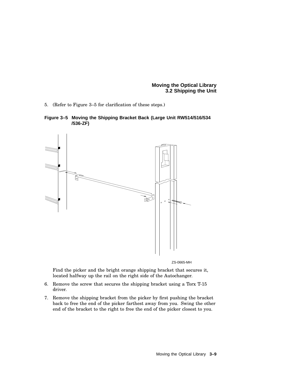**Moving the Optical Library 3.2 Shipping the Unit**

5. (Refer to Figure 3–5 for clarification of these steps.)





ZS-0665-MH

Find the picker and the bright orange shipping bracket that secures it, located halfway up the rail on the right side of the Autochanger.

- 6. Remove the screw that secures the shipping bracket using a Torx T-15 driver.
- 7. Remove the shipping bracket from the picker by first pushing the bracket back to free the end of the picker farthest away from you. Swing the other end of the bracket to the right to free the end of the picker closest to you.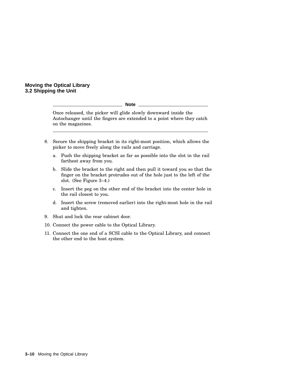#### **Moving the Optical Library 3.2 Shipping the Unit**

**Note**

Once released, the picker will glide slowly downward inside the Autochanger until the fingers are extended to a point where they catch on the magazines.

- 8. Secure the shipping bracket in its right-most position, which allows the picker to move freely along the rails and carriage.
	- a. Push the shipping bracket as far as possible into the slot in the rail farthest away from you.
	- b. Slide the bracket to the right and then pull it toward you so that the finger on the bracket protrudes out of the hole just to the left of the slot. (See Figure 3–4.)
	- c. Insert the peg on the other end of the bracket into the center hole in the rail closest to you.
	- d. Insert the screw (removed earlier) into the right-most hole in the rail and tighten.
- 9. Shut and lock the rear cabinet door.
- 10. Connect the power cable to the Optical Library.
- 11. Connect the one end of a SCSI cable to the Optical Library, and connect the other end to the host system.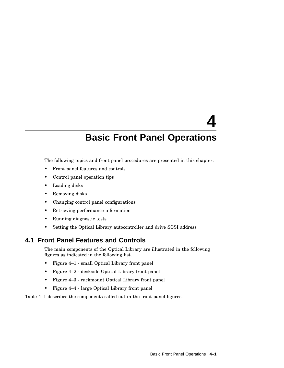# **4 Basic Front Panel Operations**

The following topics and front panel procedures are presented in this chapter:

- Front panel features and controls
- Control panel operation tips
- Loading disks
- Removing disks
- Changing control panel configurations
- Retrieving performance information
- Running diagnostic tests
- Setting the Optical Library autocontroller and drive SCSI address

## **4.1 Front Panel Features and Controls**

The main components of the Optical Library are illustrated in the following figures as indicated in the following list.

- Figure 4–1 small Optical Library front panel
- Figure 4–2 deskside Optical Library front panel
- Figure 4–3 rackmount Optical Library front panel
- Figure 4–4 large Optical Library front panel

Table 4–1 describes the components called out in the front panel figures.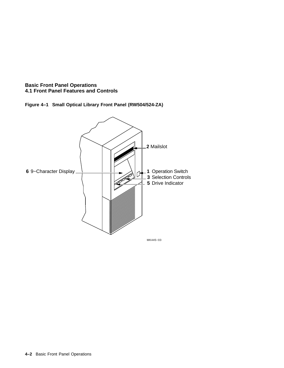

**Figure 4–1 Small Optical Library Front Panel (RW504/524-ZA)**

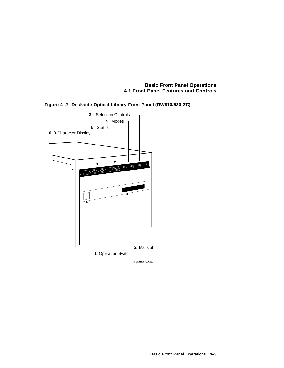

**Figure 4–2 Deskside Optical Library Front Panel (RW510/530-ZC)**

ZS-0510-MH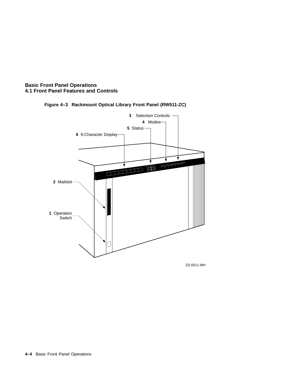



ZS-0511-MH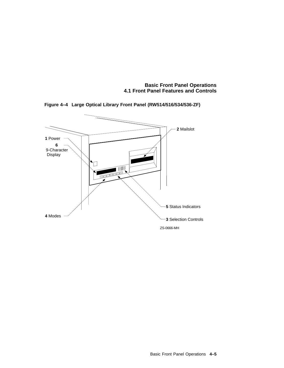

**Figure 4–4 Large Optical Library Front Panel (RW514/516/534/536-ZF)**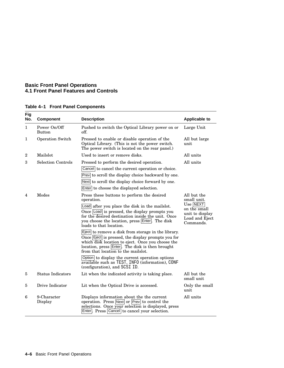| <b>Fig</b><br>No. | <b>Component</b>              | <b>Description</b>                                                                                                                                                                                                                                                                                                                                                                                                                                                                                                                                                                                                                                                                                  | <b>Applicable to</b>                                                                                     |  |
|-------------------|-------------------------------|-----------------------------------------------------------------------------------------------------------------------------------------------------------------------------------------------------------------------------------------------------------------------------------------------------------------------------------------------------------------------------------------------------------------------------------------------------------------------------------------------------------------------------------------------------------------------------------------------------------------------------------------------------------------------------------------------------|----------------------------------------------------------------------------------------------------------|--|
| 1                 | Power On/Off<br><b>Button</b> | Pushed to switch the Optical Library power on or<br>off.                                                                                                                                                                                                                                                                                                                                                                                                                                                                                                                                                                                                                                            | Large Unit                                                                                               |  |
| 1                 | <b>Operation Switch</b>       | Pressed to enable or disable operation of the<br>Optical Library. (This is not the power switch.<br>The power switch is located on the rear panel.)                                                                                                                                                                                                                                                                                                                                                                                                                                                                                                                                                 | All but large<br>unit                                                                                    |  |
| $\overline{2}$    | Mailslot                      | Used to insert or remove disks.                                                                                                                                                                                                                                                                                                                                                                                                                                                                                                                                                                                                                                                                     | All units                                                                                                |  |
| 3                 | <b>Selection Controls</b>     | Pressed to perform the desired operation.                                                                                                                                                                                                                                                                                                                                                                                                                                                                                                                                                                                                                                                           | All units                                                                                                |  |
|                   |                               | Cancel to cancel the current operation or choice.                                                                                                                                                                                                                                                                                                                                                                                                                                                                                                                                                                                                                                                   |                                                                                                          |  |
|                   |                               | Prev to scroll the display choice backward by one.                                                                                                                                                                                                                                                                                                                                                                                                                                                                                                                                                                                                                                                  |                                                                                                          |  |
|                   |                               | Next to scroll the display choice forward by one.                                                                                                                                                                                                                                                                                                                                                                                                                                                                                                                                                                                                                                                   |                                                                                                          |  |
|                   |                               | Enter to choose the displayed selection.                                                                                                                                                                                                                                                                                                                                                                                                                                                                                                                                                                                                                                                            |                                                                                                          |  |
| 4                 | Modes                         | Press these buttons to perform the desired<br>operation.<br>Load after you place the disk in the mails lot.<br>Once Load is pressed, the display prompts you<br>for the desired destination inside the unit. Once<br>you choose the location, press Enter. The disk<br>loads to that location.<br>Eject to remove a disk from storage in the library.<br>Once Eject is pressed, the display prompts you for<br>which disk location to eject. Once you choose the<br>location, press Enter. The disk is then brought<br>from that location to the mails lot.<br>Option to display the current operation options<br>available such as TEST, INFO (information), CONF<br>(configuration), and SCSI ID. | All but the<br>small unit.<br>Use NEXT<br>on the small<br>unit to display<br>Load and Eject<br>Commands. |  |
| 5                 | <b>Status Indicators</b>      | Lit when the indicated activity is taking place.                                                                                                                                                                                                                                                                                                                                                                                                                                                                                                                                                                                                                                                    | All but the<br>small unit                                                                                |  |
| 5                 | Drive Indicator               | Lit when the Optical Drive is accessed.                                                                                                                                                                                                                                                                                                                                                                                                                                                                                                                                                                                                                                                             | Only the small<br>unit                                                                                   |  |
| 6                 | 9-Character<br>Display        | Displays information about the the current<br>operation. Press Next or Prev to control the<br>selections. Once your selection is displayed, press<br>Enter. Press Cancel to cancel your selection.                                                                                                                                                                                                                                                                                                                                                                                                                                                                                                  | All units                                                                                                |  |

#### **Table 4–1 Front Panel Components**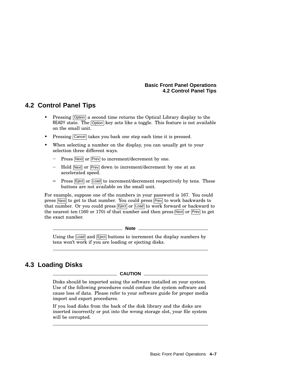#### **Basic Front Panel Operations 4.2 Control Panel Tips**

# **4.2 Control Panel Tips**

- Pressing Option a second time returns the Optical Library display to the READY state. The Option key acts like a toggle. This feature is not available on the small unit.
- Pressing Cancel takes you back one step each time it is pressed.
- When selecting a number on the display, you can usually get to your selection three different ways.
	- $Press$  Next or Prev to increment/decrement by one.
	- Hold Next or Prev down to increment/decrement by one at an accelerated speed.
	- Press Fiect or Load to increment/decrement respectively by tens. These buttons are not available on the small unit.

For example, suppose one of the numbers in your password is 167. You could press Next to get to that number. You could press Prev to work backwards to that number. Or you could press Eject or Load to work forward or backward to the nearest ten (160 or 170) of that number and then press  $Next{$  or  $Prev$  to get the exact number.

**Note**

Using the Load and Eject buttons to increment the display numbers by tens won't work if you are loading or ejecting disks.

# **4.3 Loading Disks**

#### **CAUTION**

Disks should be imported using the software installed on your system. Use of the following procedures could confuse the system software and cause loss of data. Please refer to your software guide for proper media import and export procedures.

If you load disks from the back of the disk library and the disks are inserted incorrectly or put into the wrong storage slot, your file system will be corrupted.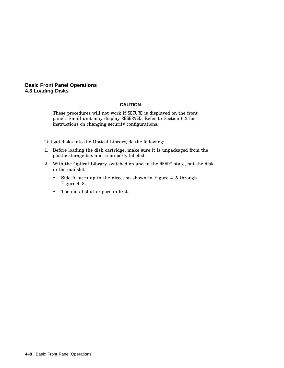#### **Basic Front Panel Operations 4.3 Loading Disks**

#### **CAUTION**

These procedures will not work if SECURE is displayed on the front panel. Small unit may display RESERVED. Refer to Section 6.3 for instructions on changing security configurations.

To load disks into the Optical Library, do the following:

- 1. Before loading the disk cartridge, make sure it is unpackaged from the plastic storage box and is properly labeled.
- 2. With the Optical Library switched on and in the READY state, put the disk in the mailslot.
	- Side A faces up in the direction shown in Figure 4–5 through Figure 4–8.
	- The metal shutter goes in first.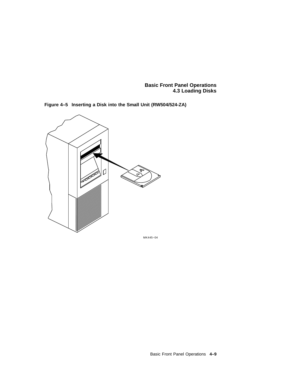**Basic Front Panel Operations 4.3 Loading Disks**



**Figure 4–5 Inserting a Disk into the Small Unit (RW504/524-ZA)**

MK445−04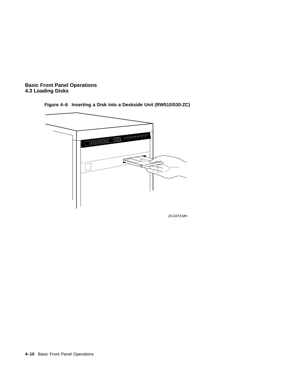





ZS-0473-MH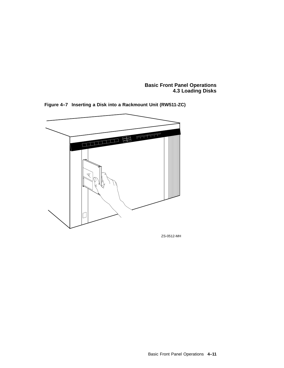**Basic Front Panel Operations 4.3 Loading Disks**



**Figure 4–7 Inserting a Disk into a Rackmount Unit (RW511-ZC)**

ZS-0512-MH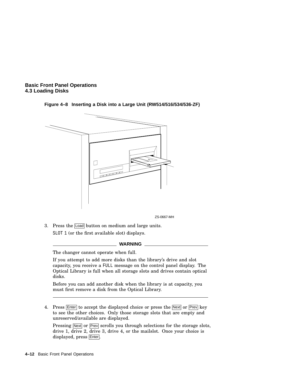



**Figure 4–8 Inserting a Disk into a Large Unit (RW514/516/534/536-ZF)**

- ZS-0667-MH
- 3. Press the Load button on medium and large units. SLOT 1 (or the first available slot) displays.

#### **WARNING**

The changer cannot operate when full.

If you attempt to add more disks than the library's drive and slot capacity, you receive a FULL message on the control panel display. The Optical Library is full when all storage slots and drives contain optical disks.

Before you can add another disk when the library is at capacity, you must first remove a disk from the Optical Library.

4. Press Enter to accept the displayed choice or press the Next or Prev key to see the other choices. Only those storage slots that are empty and unreserved/available are displayed.

Pressing Next or Prev scrolls you through selections for the storage slots, drive 1, drive 2, drive 3, drive 4, or the mailslot. Once your choice is displayed, press Enter.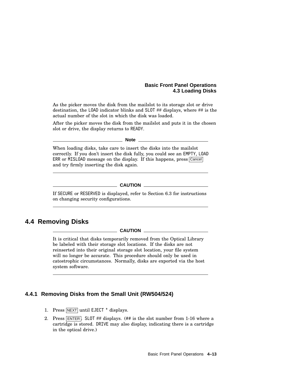#### **Basic Front Panel Operations 4.3 Loading Disks**

As the picker moves the disk from the mailslot to its storage slot or drive destination, the LOAD indicator blinks and SLOT ## displays, where ## is the actual number of the slot in which the disk was loaded.

After the picker moves the disk from the mailslot and puts it in the chosen slot or drive, the display returns to READY.

**Note**

When loading disks, take care to insert the disks into the mailslot correctly. If you don't insert the disk fully, you could see an EMPTY, LOAD ERR or MISLOAD message on the display. If this happens, press Cancel and try firmly inserting the disk again.

#### **CAUTION**

If SECURE or RESERVED is displayed, refer to Section 6.3 for instructions on changing security configurations.

# **4.4 Removing Disks**

#### **CAUTION**

It is critical that disks temporarily removed from the Optical Library be labeled with their storage slot locations. If the disks are not reinserted into their original storage slot location, your file system will no longer be accurate. This procedure should only be used in catostrophic circumstances. Normally, disks are exported via the host system software.

#### **4.4.1 Removing Disks from the Small Unit (RW504/524)**

- 1. Press NEXT until EJECT \* displays.
- 2. Press ENTER. SLOT ## displays. (## is the slot number from 1-16 where a cartridge is stored. DRIVE may also display, indicating there is a cartridge in the optical drive.)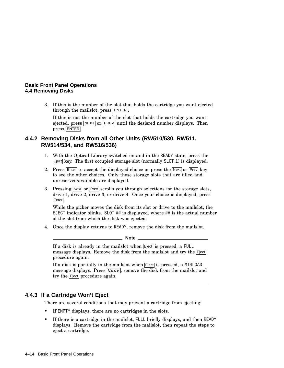#### **Basic Front Panel Operations 4.4 Removing Disks**

3. If this is the number of the slot that holds the cartridge you want ejected through the mailslot, press **ENTER**.

If this is not the number of the slot that holds the cartridge you want ejected, press  $\overline{\text{NEXT}}$  or  $\overline{\text{PREV}}$  until the desisred number displays. Then press ENTER .

#### **4.4.2 Removing Disks from all Other Units (RW510/530, RW511, RW514/534, and RW516/536)**

- 1. With the Optical Library switched on and in the READY state, press the  $\boxed{\text{Eject}}$  key. The first occupied storage slot (normally SLOT 1) is displayed.
- 2. Press  $\boxed{\text{Enter}}$  to accept the displayed choice or press the  $\boxed{\text{Next}}$  or  $\boxed{\text{Prev}}$  key to see the other choices. Only those storage slots that are filled and unreserved/available are displayed.
- 3. Pressing Next or Prev scrolls you through selections for the storage slots, drive 1,  $\overline{drive}$  2,  $\overline{drive}$  3, or drive 4. Once your choice is displayed, press Enter.

While the picker moves the disk from its slot or drive to the mailslot, the EJECT indicator blinks. SLOT ## is displayed, where ## is the actual number of the slot from which the disk was ejected.

4. Once the display returns to READY, remove the disk from the mailslot.

**Note**

If a disk is already in the mailslot when **E**ject is pressed, a FULL message displays. Remove the disk from the mailslot and try the Eject procedure again.

If a disk is partially in the mailslot when **E**ject is pressed, a MISLOAD message displays. Press Cancel, remove the disk from the mailslot and try the **E**ject procedure again.

### **4.4.3 If a Cartridge Won't Eject**

There are several conditions that may prevent a cartridge from ejecting:

- If EMPTY displays, there are no cartridges in the slots.
- If there is a cartridge in the mailslot, FULL briefly displays, and then READY displays. Remove the cartridge from the mailslot, then repeat the steps to eject a cartridge.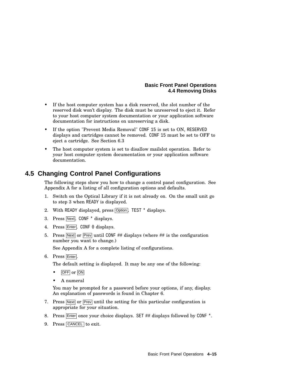#### **Basic Front Panel Operations 4.4 Removing Disks**

- If the host computer system has a disk reserved, the slot number of the reserved disk won't display. The disk must be unreserved to eject it. Refer to your host computer system documentation or your application software documentation for instructions on unreserving a disk.
- If the option "Prevent Media Removal" CONF 15 is set to ON, RESERVED displays and cartridges cannot be removed. CONF 15 must be set to OFF to eject a cartridge. See Section 6.3
- The host computer system is set to disallow mails oberation. Refer to your host computer system documentation or your application software documentation.

# **4.5 Changing Control Panel Configurations**

The following steps show you how to change a control panel configuration. See Appendix A for a listing of all configuration options and defaults.

- 1. Switch on the Optical Library if it is not already on. On the small unit go to step 3 when READY is displayed.
- 2. With READY displayed, press Option. TEST \* displays.
- 3. Press Next. CONF \* displays.
- 4. Press Enter. CONF 0 displays.
- 5. Press Next or Prev until CONF  $#$  displays (where  $#$  is the configuration number you want to change.)

See Appendix A for a complete listing of configurations.

6. Press Enter.

The default setting is displayed. It may be any one of the following:

- OFF or ON
- A numeral

You may be prompted for a password before your options, if any, display. An explanation of passwords is found in Chapter 6.

- 7. Press Next or Prev until the setting for this particular configuration is appropriate for your situation.
- 8. Press Enter once your choice displays. SET ## displays followed by CONF \*.
- 9. Press CANCEL to exit.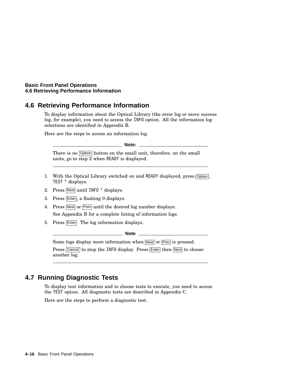#### **Basic Front Panel Operations 4.6 Retrieving Performance Information**

## **4.6 Retrieving Performance Information**

To display information about the Optical Library (the error log or move success log, for example), you need to access the INFO option. All the information log selections are identified in Appendix B.

Here are the steps to access an information log.

**Note:**

There is no  $\boxed{\text{Option}}$  button on the small unit, therefore, on the small units, go to step  $\overline{2}$  when READY is displayed.

- 1. With the Optical Library switched on and READY displayed, press Option. TEST \* displays.
- 2. Press Next until INFO \* displays.
- 3. Press Enter, a flashing 0 displays.
- 4. Press Next or Prev until the desired log number displays. See Appendix B for a complete listing of information logs.
- 5. Press Enter. The log information displays.

**Note**

Some logs display more information when Next or Prev is pressed.

Press Cancel to stop the INFO display. Press Enter then Next to choose another log.

# **4.7 Running Diagnostic Tests**

To display test information and to choose tests to execute, you need to access the TEST option. All diagnostic tests are described in Appendix C.

Here are the steps to perform a diagnostic test.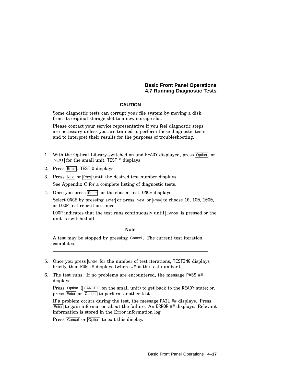#### **Basic Front Panel Operations 4.7 Running Diagnostic Tests**

#### **CAUTION**

Some diagnostic tests can corrupt your file system by moving a disk from its original storage slot to a new storage slot.

Please contact your service representative if you feel diagnostic steps are necessary unless you are trained to perform these diagnostic tests and to interpret their results for the purposes of troubleshooting.

- 1. With the Optical Library switched on and READY displayed, press Option, or NEXT for the small unit, TEST \* displays.
- 2. Press Enter. TEST 0 displays.
- 3. Press Next or Prev until the desired test number displays. See Appendix C for a complete listing of diagnostic tests.
- 4. Once you press Enter for the chosen test, ONCE displays.

Select ONCE by pressing Enter or press Next or Prev to choose 10, 100, 1000, or LOOP test repetition times.

LOOP indicates that the test runs continuously until Cancel is pressed or the unit is switched off.

**Note**

A test may be stopped by pressing Cancel. The current test iteration completes.

- 5. Once you press Enter for the number of test iterations, TESTING displays briefly, then RUN ## displays (where ## is the test number.)
- 6. The test runs. If no problems are encountered, the message PASS ## displays.

Press  $\overline{Option}$  (CANCEL) on the small unit) to get back to the READY state; or, press Enter or Cancel to perform another test.

If a problem occurs during the test, the message FAIL ## displays. Press  $\boxed{\text{Enter}}$  to gain information about the failure. An ERROR  $\#$  displays. Relevant information is stored in the Error information log.

Press Cancel or Option to exit this display.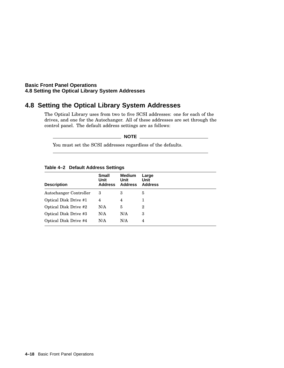#### **Basic Front Panel Operations 4.8 Setting the Optical Library System Addresses**

# **4.8 Setting the Optical Library System Addresses**

The Optical Library uses from two to five SCSI addresses: one for each of the drives, and one for the Autochanger. All of these addresses are set through the control panel. The default address settings are as follows:

**NOTE**

You must set the SCSI addresses regardless of the defaults.

| <b>Description</b>           | <b>Small</b><br>Unit<br><b>Address</b> | <b>Medium</b><br>Unit<br><b>Address</b> | Large<br>Unit<br><b>Address</b> |  |
|------------------------------|----------------------------------------|-----------------------------------------|---------------------------------|--|
| Autochanger Controller       | 3                                      | 3                                       | 5                               |  |
| Optical Disk Drive #1        | 4                                      | 4                                       |                                 |  |
| <b>Optical Disk Drive #2</b> | N/A                                    | 5                                       | $\overline{2}$                  |  |
| Optical Disk Drive #3        | N/A                                    | N/A                                     | 3                               |  |
| Optical Disk Drive #4        | N/A                                    | N/A                                     | 4                               |  |
|                              |                                        |                                         |                                 |  |

#### **Table 4–2 Default Address Settings**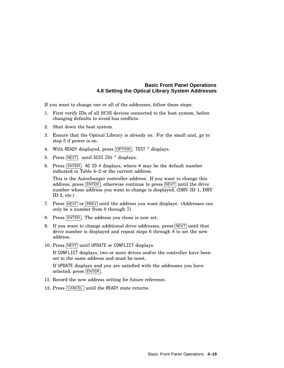#### **Basic Front Panel Operations 4.8 Setting the Optical Library System Addresses**

If you want to change one or all of the addresses, follow these steps:

- 1. First verify IDs of all SCSI devices connected to the host system, before changing defaults to avoid bus conflicts.
- 2. Shut down the host system.
- 3. Ensure that the Optical Library is already on. For the small unit, go to step 5 if power is on.
- 4. With READY displayed, press OPTION. TEST \* displays.
- 5. Press NEXT, until SCSI IDs \* displays.
- 6. Press  $\overline{\text{ENTER}}$ . AC ID # displays, where # may be the default number indicated in Table 4–2 or the current address.

This is the Autochanger controller address. If you want to change this address, press ENTER , otherwise continue to press NEXT until the drive number whose address you want to change is displayed, (DRV ID 1, DRV ID  $2$ , etc.)

- 7. Press  $\overline{\text{NEXT}}$  or  $\overline{\text{PREV}}$  until the address you want displays. (Addresses can only be a number from 0 through 7).
- 8. Press ENTER. The address you chose is now set.
- 9. If you want to change additional drive addresses, press  $NEXT$  until that drive number is displayed and repeat steps 6 through 8 to set the new address.
- 10. Press NEXT until UPDATE or CONFLICT displays.

If CONFLICT displays, two or more drives and/or the controller have been set to the same address and must be reset.

If UPDATE displays and you are satisfied with the addresses you have selected, press ENTER .

- 11. Record the new address setting for future reference.
- 12. Press CANCEL until the READY state returns.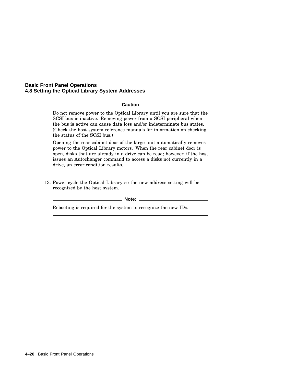#### **Basic Front Panel Operations 4.8 Setting the Optical Library System Addresses**

**Caution** \_

Do not remove power to the Optical Library until you are sure that the SCSI bus is inactive. Removing power from a SCSI peripheral when the bus is active can cause data loss and/or indeterminate bus states. (Check the host system reference manuals for information on checking the status of the SCSI bus.)

Opening the rear cabinet door of the large unit automatically removes power to the Optical Library motors. When the rear cabinet door is open, disks that are already in a drive can be read; however, if the host issues an Autochanger command to access a disks not currently in a drive, an error condition results.

13. Power cycle the Optical Library so the new address setting will be recognized by the host system.

**Note:**

Rebooting is required for the system to recognize the new IDs.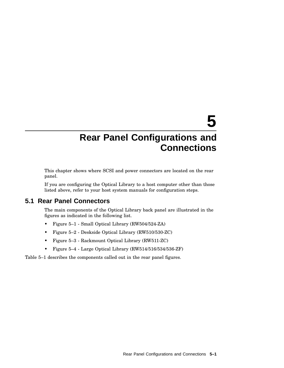# **5**

# **Rear Panel Configurations and Connections**

This chapter shows where SCSI and power connectors are located on the rear panel.

If you are configuring the Optical Library to a host computer other than those listed above, refer to your host system manuals for configuration steps.

## **5.1 Rear Panel Connectors**

The main components of the Optical Library back panel are illustrated in the figures as indicated in the following list.

- Figure 5–1 Small Optical Library (RW504/524-ZA)
- Figure 5–2 Deskside Optical Library (RW510/530-ZC)
- Figure 5–3 Rackmount Optical Library (RW511-ZC)
- Figure 5–4 Large Optical Library (RW514/516/534/536-ZF)

Table 5–1 describes the components called out in the rear panel figures.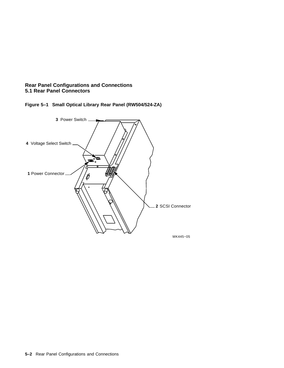





**5–2** Rear Panel Configurations and Connections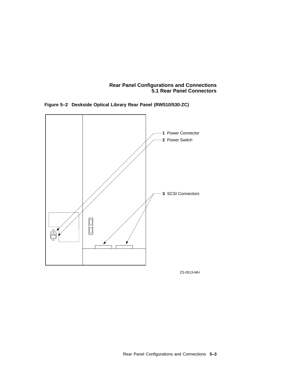**Figure 5–2 Deskside Optical Library Rear Panel (RW510/530-ZC)**



ZS-0513-MH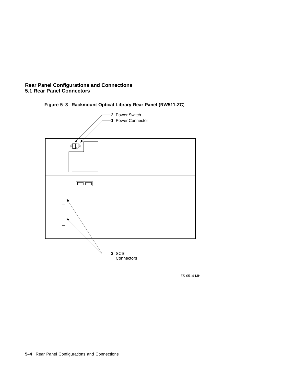

**Figure 5–3 Rackmount Optical Library Rear Panel (RW511-ZC)**

ZS-0514-MH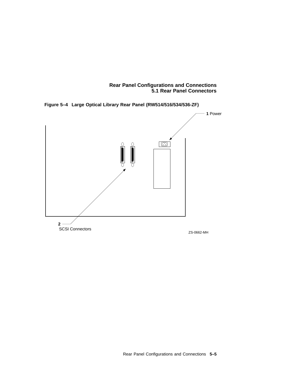**Figure 5–4 Large Optical Library Rear Panel (RW514/516/534/536-ZF)**

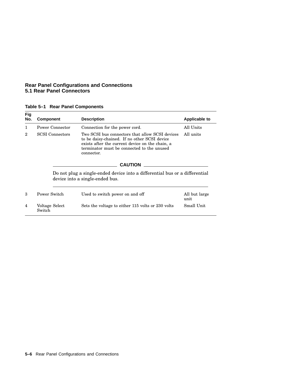| Table 5-1 Rear Panel Components |  |  |  |  |
|---------------------------------|--|--|--|--|
|---------------------------------|--|--|--|--|

| <b>Fig</b><br>No. | <b>Component</b>                                                                                               | <b>Description</b>                                                                                                                                                                                             | Applicable to<br>All Units |  |  |  |  |
|-------------------|----------------------------------------------------------------------------------------------------------------|----------------------------------------------------------------------------------------------------------------------------------------------------------------------------------------------------------------|----------------------------|--|--|--|--|
| 1                 | Power Connector                                                                                                | Connection for the power cord.                                                                                                                                                                                 |                            |  |  |  |  |
| $\overline{2}$    | <b>SCSI</b> Connectors                                                                                         | Two SCSI bus connectors that allow SCSI devices<br>to be daisy-chained. If no other SCSI device<br>exists after the current device on the chain, a<br>terminator must be connected to the unused<br>connector. | All units                  |  |  |  |  |
|                   | <b>CAUTION</b>                                                                                                 |                                                                                                                                                                                                                |                            |  |  |  |  |
|                   | Do not plug a single-ended device into a differential bus or a differential<br>device into a single-ended bus. |                                                                                                                                                                                                                |                            |  |  |  |  |
| 3                 | Power Switch                                                                                                   | Used to switch power on and off                                                                                                                                                                                | All but large<br>unit      |  |  |  |  |
| $\overline{4}$    | Voltage Select<br>Switch                                                                                       | Sets the voltage to either 115 volts or 230 volts                                                                                                                                                              | Small Unit                 |  |  |  |  |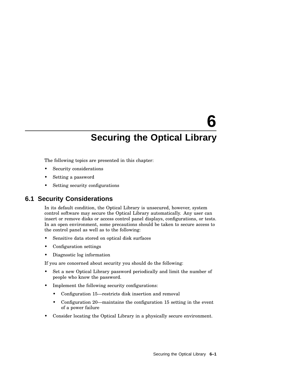# **6**

# **Securing the Optical Library**

The following topics are presented in this chapter:

- Security considerations
- Setting a password
- Setting security configurations

### **6.1 Security Considerations**

In its default condition, the Optical Library is unsecured, however, system control software may secure the Optical Library automatically. Any user can insert or remove disks or access control panel displays, configurations, or tests. In an open environment, some precautions should be taken to secure access to the control panel as well as to the following:

- Sensitive data stored on optical disk surfaces
- Configuration settings
- Diagnostic log information

If you are concerned about security you should do the following:

- Set a new Optical Library password periodically and limit the number of people who know the password.
- Implement the following security configurations:
	- Configuration 15—restricts disk insertion and removal
	- Configuration 20—maintains the configuration 15 setting in the event of a power failure
- Consider locating the Optical Library in a physically secure environment.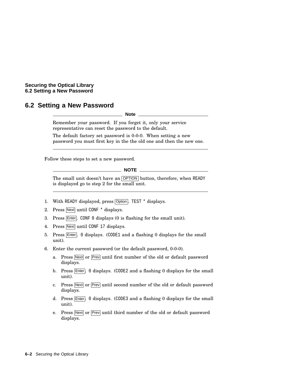#### **Securing the Optical Library 6.2 Setting a New Password**

# **6.2 Setting a New Password**

**Note**

Remember your password. If you forget it, only your service representative can reset the password to the default.

The default factory set password is 0-0-0. When setting a new password you must first key in the the old one and then the new one.

Follow these steps to set a new password.

**NOTE**

The small unit doesn't have an OPTION button, therefore, when READY is displayed go to step 2 for the small unit.

- 1. With READY displayed, press Option. TEST \* displays.
- 2. Press Next until CONF \* displays.
- 3. Press  $\overline{\text{Enter}}$ . CONF 0 displays (0 is flashing for the small unit).
- 4. Press Next until CONF 17 displays.
- 5. Press Enter. 0 displays. (CODE1 and a flashing 0 displays for the small unit).
- 6. Enter the current password (or the default password, 0-0-0).
	- a. Press Next or Prev until first number of the old or default password displays.
	- b. Press  $\boxed{\text{Enter}}$ . 0 displays. (CODE2 and a flashing 0 displays for the small unit).
	- c. Press Next or Prev until second number of the old or default password displays.
	- d. Press Enter. 0 displays. (CODE3 and a flashing 0 displays for the small unit).
	- e. Press Next or Prev until third number of the old or default password displays.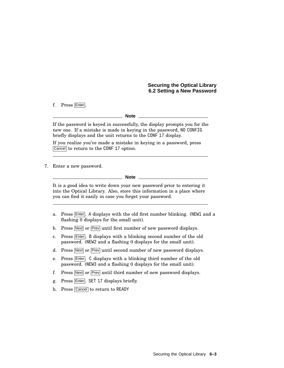#### **Securing the Optical Library 6.2 Setting a New Password**

f. Press Enter.

**Note**

If the password is keyed in successfully, the display prompts you for the new one. If a mistake is made in keying in the password, NO CONFIG briefly displays and the unit returns to the CONF 17 display.

If you realize you've made a mistake in keying in a password, press Cancel to return to the CONF 17 option.

7. Enter a new password.

**Note**

It is a good idea to write down your new password prior to entering it into the Optical Library. Also, store this information in a place where you can find it easily in case you forget your password.

- a. Press Enter. A displays with the old first number blinking. (NEW1 and a flashing 0 displays for the small unit).
- b. Press Next or Prev until first number of new password displays.
- c. Press Enter. B displays with a blinking second number of the old password. (NEW2 and a flashing 0 displays for the small unit).
- d. Press Next or Prev until second number of new password displays.
- e. Press Enter. C displays with a blinking third number of the old password. (NEW3 and a flashing 0 displays for the small unit).
- f. Press Next or Prev until third number of new password displays.
- g. Press Enter. SET 17 displays briefly.
- h. Press Cancel to return to READY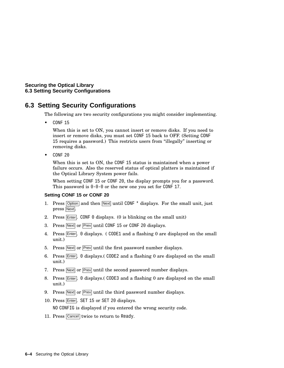**Securing the Optical Library 6.3 Setting Security Configurations**

## **6.3 Setting Security Configurations**

The following are two security configurations you might consider implementing.

• CONF 15

When this is set to ON, you cannot insert or remove disks. If you need to insert or remove disks, you must set CONF 15 back to OFF. (Setting CONF 15 requires a password.) This restricts users from ''illegally'' inserting or removing disks.

• CONF 20

When this is set to ON, the CONF 15 status is maintained when a power failure occurs. Also the reserved status of optical platters is maintained if the Optical Library System power fails.

When setting CONF 15 or CONF 20, the display prompts you for a password. This password is 0-0-0 or the new one you set for CONF 17.

#### **Setting CONF 15 or CONF 20**

- 1. Press  $\overline{Option}$  and then  $\overline{Next}$  until CONF  $*$  displays. For the small unit, just press Next.
- 2. Press  $\boxed{\text{Enter}}$ . CONF 0 displays. (0 is blinking on the small unit)
- 3. Press Next or Frev until CONF 15 or CONF 20 displays.
- 4. Press Enter. 0 displays. (CODE1 and a flashing 0 are displayed on the small unit.)
- 5. Press Next or Prev until the first password number displays.
- 6. Press Enter, 0 displays. CODE2 and a flashing 0 are displayed on the small unit.)
- 7. Press Next or Prev until the second password number displays.
- 8. Press Enter. 0 displays. (CODE3 and a flashing 0 are displayed on the small unit.)
- 9. Press Next or Prev until the third password number displays.
- 10. Press Enter. SET 15 or SET 20 displays.

NO CONFIG is displayed if you entered the wrong security code.

11. Press Cancel twice to return to Ready.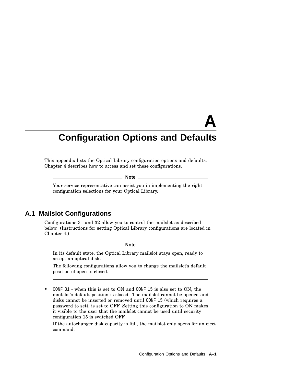# **A Configuration Options and Defaults**

This appendix lists the Optical Library configuration options and defaults. Chapter 4 describes how to access and set these configurations.

**Note**

Your service representative can assist you in implementing the right configuration selections for your Optical Library.

# **A.1 Mailslot Configurations**

Configurations 31 and 32 allow you to control the mailslot as described below. (Instructions for setting Optical Library configurations are located in Chapter 4.)

**Note**

In its default state, the Optical Library mailslot stays open, ready to accept an optical disk.

The following configurations allow you to change the mailslot's default position of open to closed.

• CONF 31 - when this is set to ON and CONF 15 is also set to ON, the mailslot's default position is closed. The mailslot cannot be opened and disks cannot be inserted or removed until CONF 15 (which requires a password to set), is set to OFF. Setting this configuration to ON makes it visible to the user that the mailslot cannot be used until security configuration 15 is switched OFF.

If the autochanger disk capacity is full, the mailslot only opens for an eject command.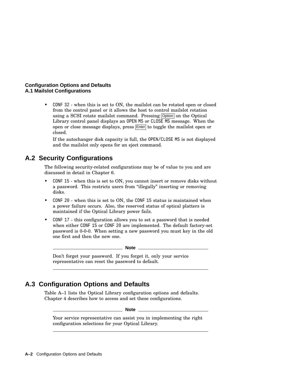#### **Configuration Options and Defaults A.1 Mailslot Configurations**

• CONF 32 - when this is set to ON, the mailslot can be rotated open or closed from the control panel or it allows the host to control mailslot rotation using a SCSI rotate mailslot command. Pressing Option on the Optical Library control panel displays an OPEN MS or CLOSE MS message. When the open or close message displays, press Enter to toggle the mailslot open or closed.

If the autochanger disk capacity is full, the OPEN/CLOSE MS is not displayed and the mailslot only opens for an eject command.

# **A.2 Security Configurations**

The following security-related configurations may be of value to you and are discussed in detail in Chapter 6.

- CONF 15 when this is set to ON, you cannot insert or remove disks without a password. This restricts users from ''illegally'' inserting or removing disks.
- CONF 20 when this is set to ON, the CONF 15 status is maintained when a power failure occurs. Also, the reserved status of optical platters is maintained if the Optical Library power fails.
- CONF 17 this configuration allows you to set a password that is needed when either CONF 15 or CONF 20 are implemented. The default factory-set password is 0-0-0. When setting a new password you must key in the old one first and then the new one.

**Note**

Don't forget your password. If you forget it, only your service representative can reset the password to default.

# **A.3 Configuration Options and Defaults**

Table A–1 lists the Optical Library configuration options and defaults. Chapter 4 describes how to access and set these configurations.

**Note**

Your service representative can assist you in implementing the right configuration selections for your Optical Library.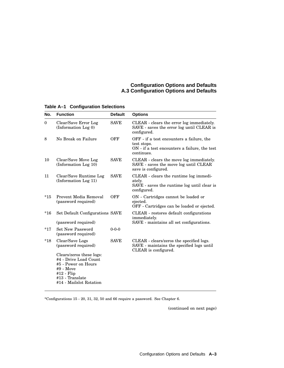#### **Configuration Options and Defaults A.3 Configuration Options and Defaults**

| No.          | <b>Function</b>                                                                                                                                     | <b>Default</b> | <b>Options</b>                                                                                                          |
|--------------|-----------------------------------------------------------------------------------------------------------------------------------------------------|----------------|-------------------------------------------------------------------------------------------------------------------------|
| $\mathbf{0}$ | Clear/Save Error Log<br>(Information Log 0)                                                                                                         | <b>SAVE</b>    | CLEAR - clears the error log immediately.<br>SAVE - saves the error log until CLEAR is<br>configured.                   |
| 8            | No Break on Failure                                                                                                                                 | <b>OFF</b>     | OFF - if a test encounters a failure, the<br>test stops.<br>ON - if a test encounters a failure, the test<br>continues. |
| 10           | Clear/Save Move Log<br>(Information Log 10)                                                                                                         | <b>SAVE</b>    | CLEAR - clears the move log immediately.<br>SAVE - saves the move log until CLEAR<br>save is configured.                |
| 11           | Clear/Save Runtime Log<br>(Information Log 11)                                                                                                      | <b>SAVE</b>    | CLEAR - clears the runtime log immedi-<br>ately.<br>SAVE - saves the runtime log until clear is<br>configured.          |
| $*15$        | Prevent Media Removal<br>(password required)                                                                                                        | OFF            | ON - Cartridges cannot be loaded or<br>ejected.<br>OFF - Cartridges can be loaded or ejected.                           |
| $*16$        | Set Default Configurations SAVE<br>(password required)                                                                                              |                | CLEAR - restores default configurations<br>immediately.<br>SAVE - maintains all set configurations.                     |
| $*17$        | <b>Set New Password</b><br>(password required)                                                                                                      | $0 - 0 - 0$    |                                                                                                                         |
| $*18$        | Clear/Save Logs<br>(password required)                                                                                                              | <b>SAVE</b>    | CLEAR - clears/zeros the specified logs.<br>SAVE - maintains the specified logs until<br>CLEAR is configured.           |
|              | Clears/zeros these logs:<br>#4 - Drive Load Count<br>#5 - Power on Hours<br>#9 - Move<br>$#12$ - Flip<br>#13 - Translate<br>#14 - Mailslot Rotation |                |                                                                                                                         |

**Table A–1 Configuration Selections**

\*Configurations 15 - 20, 31, 32, 50 and 66 require a password. See Chapter 6.

(continued on next page)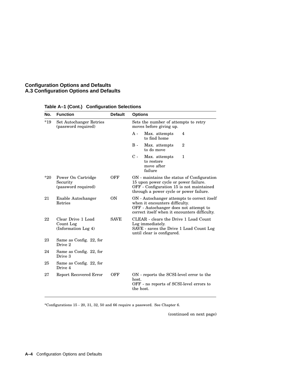#### **Configuration Options and Defaults A.3 Configuration Options and Defaults**

| No.   | <b>Function</b>                                        | <b>Default</b> | <b>Options</b>                                                                                                                                                             |
|-------|--------------------------------------------------------|----------------|----------------------------------------------------------------------------------------------------------------------------------------------------------------------------|
| $*19$ | Set Autochanger Retries<br>(password required)         |                | Sets the number of attempts to retry<br>moves before giving up.                                                                                                            |
|       |                                                        |                | A -<br>Max. attempts<br>4<br>to find home                                                                                                                                  |
|       |                                                        |                | $\overline{2}$<br>B -<br>Max. attempts<br>to do move                                                                                                                       |
|       |                                                        |                | $\rm{C}$ -<br>Max. attempts<br>$\mathbf{1}$<br>to restore<br>move after<br>failure                                                                                         |
| $*20$ | Power On Cartridge<br>Security<br>(password required)  | OFF            | ON - maintains the status of Configuration<br>15 upon power cycle or power failure.<br>OFF - Configuration 15 is not maintained<br>through a power cycle or power failure. |
| 21    | Enable Autochanger<br>Retries                          | <b>ON</b>      | ON - Autochanger attempts to correct itself<br>when it encounters difficulty.<br>OFF - Autochanger does not attempt to<br>correct itself when it encounters difficulty.    |
| 22    | Clear Drive 1 Load<br>Count Log<br>(Information Log 4) | <b>SAVE</b>    | CLEAR - clears the Drive 1 Load Count<br>Log immediately.<br>SAVE - saves the Drive 1 Load Count Log<br>until clear is configured.                                         |
| 23    | Same as Config. 22, for<br>Drive 2                     |                |                                                                                                                                                                            |
| 24    | Same as Config. 22, for<br>Drive 3                     |                |                                                                                                                                                                            |
| 25    | Same as Config. 22, for<br>Drive 4                     |                |                                                                                                                                                                            |
| 27    | Report Recovered Error                                 | OFF            | ON - reports the SCSI-level error to the<br>host.<br>OFF - no reports of SCSI-level errors to<br>the host.                                                                 |

#### **Table A–1 (Cont.) Configuration Selections**

\*Configurations 15 - 20, 31, 32, 50 and 66 require a password. See Chapter 6.

(continued on next page)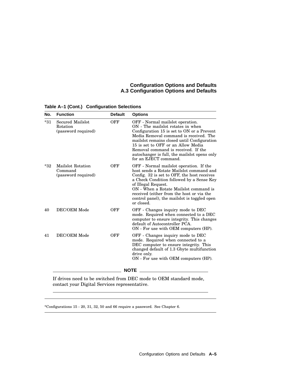#### **Configuration Options and Defaults A.3 Configuration Options and Defaults**

| No.   | <b>Function</b>                                     | <b>Default</b> | <b>Options</b>                                                                                                                                                                                                                                                                                                                                                     |
|-------|-----------------------------------------------------|----------------|--------------------------------------------------------------------------------------------------------------------------------------------------------------------------------------------------------------------------------------------------------------------------------------------------------------------------------------------------------------------|
| $*31$ | Secured Mailslot<br>Rotation<br>(password required) | OFF            | OFF - Normal mailslot operation.<br>ON - The mails ot rotates in when<br>Configuration 15 is set to ON or a Prevent<br>Media Removal command is received. The<br>mails ot remains closed until Configuration<br>15 is set to OFF or an Allow Media<br>Removal command is received. If the<br>autochanger is full, the mailslot opens only<br>for an EJECT command. |
| $*32$ | Mailslot Rotation<br>Command<br>(password required) | OFF            | OFF - Normal mails object operation. If the<br>host sends a Rotate Mailslot command and<br>Config. 32 is set to OFF, the host receives<br>a Check Condition followed by a Sense Key<br>of Illegal Request.<br>ON - When a Rotate Mailslot command is<br>received (either from the host or via the<br>control panel), the mails ot is toggled open<br>or closed.    |
| 40    | DEC/OEM Mode                                        | OFF            | OFF - Changes inquiry mode to DEC<br>mode. Required when connected to a DEC<br>computer to ensure integrity. This changes<br>default of Autocontroller PCA.<br>ON - For use with OEM computers (HP).                                                                                                                                                               |
| 41    | DEC/OEM Mode                                        | OFF            | OFF - Changes inquiry mode to DEC<br>mode. Required when connected to a<br>DEC computer to ensure integrity. This<br>changed default of 1.3 Gbyte multifunction<br>drive only.<br>ON - For use with OEM computers (HP).                                                                                                                                            |
|       |                                                     |                | <b>NOTE</b>                                                                                                                                                                                                                                                                                                                                                        |

**Table A–1 (Cont.) Configuration Selections**

If drives need to be switched from DEC mode to OEM standard mode, contact your Digital Services representative.

\*Configurations 15 - 20, 31, 32, 50 and 66 require a password. See Chapter 6.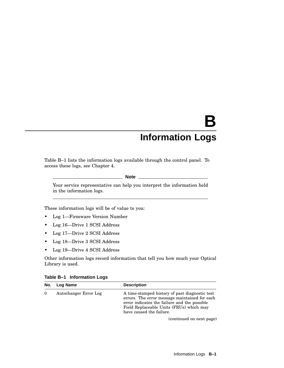## **B Information Logs**

Table B–1 lists the information logs available through the control panel. To access these logs, see Chapter 4.

**Note**

Your service representative can help you interpret the information held in the information logs.

These information logs will be of value to you:

- Log 1—Firmware Version Number
- Log 16—Drive 1 SCSI Address
- Log 17—Drive 2 SCSI Address
- Log 18—Drive 3 SCSI Address
- Log 19—Drive 4 SCSI Address

Other information logs record information that tell you how much your Optical Library is used.

|  | Table B-1 Information Logs |  |
|--|----------------------------|--|
|--|----------------------------|--|

| No.      | Log Name              | <b>Description</b>                                                                                                                                                                                                      |
|----------|-----------------------|-------------------------------------------------------------------------------------------------------------------------------------------------------------------------------------------------------------------------|
| $\Omega$ | Autochanger Error Log | A time-stamped history of past diagnostic test<br>errors. The error message maintained for each<br>error indicates the failure and the possible<br>Field Replaceable Units (FRUs) which may<br>have caused the failure. |
|          |                       | (continued on next page)                                                                                                                                                                                                |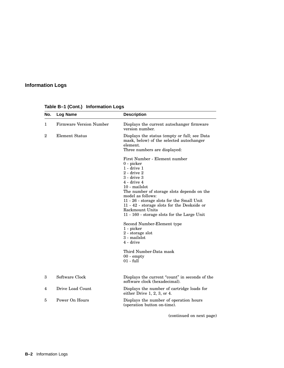#### **Information Logs**

| No.            | <b>Log Name</b>                | <b>Description</b>                                                                                                                                                                                                                                                                                                                                                                                        |
|----------------|--------------------------------|-----------------------------------------------------------------------------------------------------------------------------------------------------------------------------------------------------------------------------------------------------------------------------------------------------------------------------------------------------------------------------------------------------------|
| $\mathbf{1}$   | <b>Firmware Version Number</b> | Displays the current autochanger firmware<br>version number.                                                                                                                                                                                                                                                                                                                                              |
| $\overline{2}$ | Element Status                 | Displays the status (empty or full; see Data<br>mask, below) of the selected autochanger<br>element.<br>Three numbers are displayed:                                                                                                                                                                                                                                                                      |
|                |                                | First Number - Element number<br>0 - picker<br>$1 - drive 1$<br>$2$ - drive $2$<br>$3 - drive3$<br>$4 - drive 4$<br>10 - mailslot<br>The number of storage slots depends on the<br>model as follows:<br>11 - 26 - storage slots for the Small Unit<br>$11$ - $42$ - storage slots for the Desk<br>side or<br>Rackmount Units<br>11 - 160 - storage slots for the Large Unit<br>Second Number-Element type |
|                |                                | 1 - picker<br>2 - storage slot<br>3 - mailslot<br>4 - drive                                                                                                                                                                                                                                                                                                                                               |
|                |                                | Third Number-Data mask<br>$00 - \text{empty}$<br>$01 - full$                                                                                                                                                                                                                                                                                                                                              |
| 3              | Software Clock                 | Displays the current "count" in seconds of the<br>software clock (hexadecimal).                                                                                                                                                                                                                                                                                                                           |
| 4              | Drive Load Count               | Displays the number of cartridge loads for<br>either Drive $1, 2, 3$ , or $4$ .                                                                                                                                                                                                                                                                                                                           |
| 5              | Power On Hours                 | Displays the number of operation hours<br>(operation button on-time).                                                                                                                                                                                                                                                                                                                                     |
|                |                                | (continued on next page)                                                                                                                                                                                                                                                                                                                                                                                  |

#### **Table B–1 (Cont.) Information Logs**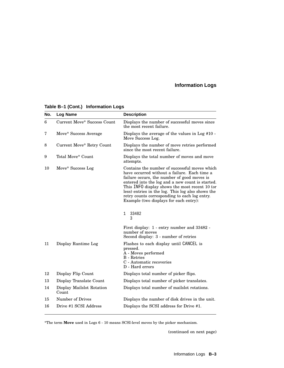#### **Information Logs**

| No. | <b>Log Name</b>                    | <b>Description</b>                                                                                                                                                                                                                                                                                                                                                                                 |
|-----|------------------------------------|----------------------------------------------------------------------------------------------------------------------------------------------------------------------------------------------------------------------------------------------------------------------------------------------------------------------------------------------------------------------------------------------------|
| 6   | <b>Current Move* Success Count</b> | Displays the number of successful moves since<br>the most recent failure.                                                                                                                                                                                                                                                                                                                          |
| 7   | Move* Success Average              | Displays the average of the values in Log #10 -<br>Move Success Log.                                                                                                                                                                                                                                                                                                                               |
| 8   | Current Move* Retry Count          | Displays the number of move retries performed<br>since the most recent failure.                                                                                                                                                                                                                                                                                                                    |
| 9   | Total Move* Count                  | Displays the total number of moves and move<br>attempts.                                                                                                                                                                                                                                                                                                                                           |
| 10  | Move* Success Log                  | Contains the number of successful moves which<br>have occurred without a failure. Each time a<br>failure occurs, the number of good moves is<br>entered into the log and a new count is started.<br>This INFO display shows the most recent 10 (or<br>less) entries in the log. This log also shows the<br>retry counts corresponding to each log entry.<br>Example (two displays for each entry): |
|     |                                    | 33482<br>1<br>3                                                                                                                                                                                                                                                                                                                                                                                    |
|     |                                    | First display: 1 - entry number and 33482 -<br>number of moves<br>Second display: 3 - number of retries                                                                                                                                                                                                                                                                                            |
| 11  | Display Runtime Log                | Flashes to each display until CANCEL is<br>pressed.<br>A - Moves performed<br><b>B</b> - Retries<br>C - Automatic recoveries<br>D - Hard errors                                                                                                                                                                                                                                                    |
| 12  | Display Flip Count                 | Displays total number of picker flips.                                                                                                                                                                                                                                                                                                                                                             |
| 13  | Display Translate Count            | Displays total number of picker translates.                                                                                                                                                                                                                                                                                                                                                        |
| 14  | Display Mailslot Rotation<br>Count | Displays total number of mailslot rotations.                                                                                                                                                                                                                                                                                                                                                       |
| 15  | Number of Drives                   | Displays the number of disk drives in the unit.                                                                                                                                                                                                                                                                                                                                                    |
| 16  | Drive #1 SCSI Address              | Displays the SCSI address for Drive #1.                                                                                                                                                                                                                                                                                                                                                            |

#### **Table B–1 (Cont.) Information Logs**

\*The term **Move** used in Logs 6 - 10 means SCSI-level moves by the picker mechanism.

(continued on next page)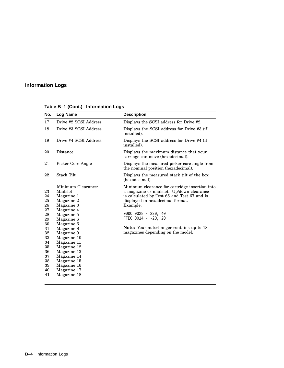#### **Information Logs**

| No.                                                                                                      | Log Name                                                                                                                                                                                                                                                                             | <b>Description</b>                                                                                                                                                                                                                                                                                                                    |
|----------------------------------------------------------------------------------------------------------|--------------------------------------------------------------------------------------------------------------------------------------------------------------------------------------------------------------------------------------------------------------------------------------|---------------------------------------------------------------------------------------------------------------------------------------------------------------------------------------------------------------------------------------------------------------------------------------------------------------------------------------|
| 17                                                                                                       | Drive #2 SCSI Address                                                                                                                                                                                                                                                                | Displays the SCSI address for Drive #2.                                                                                                                                                                                                                                                                                               |
| 18                                                                                                       | Drive #3 SCSI Address                                                                                                                                                                                                                                                                | Displays the SCSI address for Drive #3 (if<br>installed).                                                                                                                                                                                                                                                                             |
| 19                                                                                                       | Drive #4 SCSI Address                                                                                                                                                                                                                                                                | Displays the SCSI address for Drive #4 (if<br>installed).                                                                                                                                                                                                                                                                             |
| 20                                                                                                       | Distance                                                                                                                                                                                                                                                                             | Displays the maximum distance that your<br>carriage can move (hexadecimal).                                                                                                                                                                                                                                                           |
| 21                                                                                                       | Picker Core Angle                                                                                                                                                                                                                                                                    | Displays the measured picker core angle from<br>the nominal position (hexadecimal).                                                                                                                                                                                                                                                   |
| 22                                                                                                       | <b>Stack Tilt</b>                                                                                                                                                                                                                                                                    | Displays the measured stack tilt of the box<br>(hexadecimal).                                                                                                                                                                                                                                                                         |
| 23<br>24<br>25<br>26<br>27<br>28<br>29<br>30<br>31<br>32<br>33<br>34<br>35<br>36<br>37<br>38<br>39<br>40 | Minimum Clearance:<br>Mailslot<br>Magazine 1<br>Magazine 2<br>Magazine 3<br>Magazine 4<br>Magazine 5<br>Magazine 6<br>Magazine 6<br>Magazine 8<br>Magazine 9<br>Magazine 10<br>Magazine 11<br>Magazine 12<br>Magazine 13<br>Magazine 14<br>Magazine 15<br>Magazine 16<br>Magazine 17 | Minimum clearance for cartridge insertion into<br>a magazine or mailslot. Up/down clearance<br>is calculated by Test 65 and Test 67 and is<br>displayed in hexadecimal format.<br>Example:<br>$00DC 0028 - 220, 40$<br>FFEC $0014 - -20$ , 20<br><b>Note:</b> Your autochanger contains up to 18<br>magazines depending on the model. |
| 41                                                                                                       | Magazine 18                                                                                                                                                                                                                                                                          |                                                                                                                                                                                                                                                                                                                                       |

**Table B–1 (Cont.) Information Logs**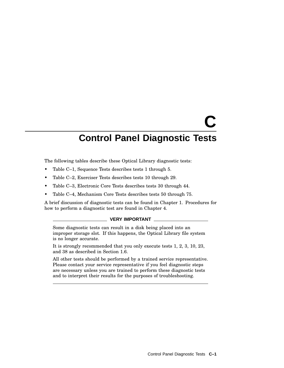The following tables describe these Optical Library diagnostic tests:

- Table C–1, Sequence Tests describes tests 1 through 5.
- Table C–2, Exerciser Tests describes tests 10 through 29.
- Table C–3, Electronic Core Tests describes tests 30 through 44.
- Table C–4, Mechanism Core Tests describes tests 50 through 75.

A brief discussion of diagnostic tests can be found in Chapter 1. Procedures for how to perform a diagnostic test are found in Chapter 4.

#### **VERY IMPORTANT**

Some diagnostic tests can result in a disk being placed into an improper storage slot. If this happens, the Optical Library file system is no longer accurate.

It is strongly recommended that you only execute tests 1, 2, 3, 10, 23, and 38 as described in Section 1.6.

All other tests should be performed by a trained service representative. Please contact your service representative if you feel diagnostic steps are necessary unless you are trained to perform these diagnostic tests and to interpret their results for the purposes of troubleshooting.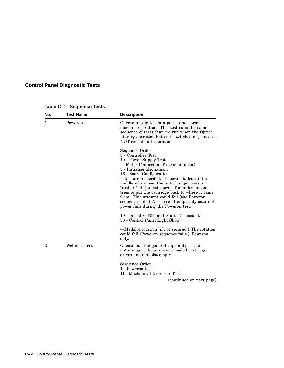| No.            | <b>Test Name</b>     | <b>Description</b>                                                                                                                                                                                                                                                                                                                                                                                                                                                                                         |
|----------------|----------------------|------------------------------------------------------------------------------------------------------------------------------------------------------------------------------------------------------------------------------------------------------------------------------------------------------------------------------------------------------------------------------------------------------------------------------------------------------------------------------------------------------------|
| 1              | Poweron              | Checks all digital data paths and normal<br>machine operation. This test runs the same<br>sequence of tests that are run when the Optical<br>Library operation button is switched on, but does<br>NOT execute all operations.                                                                                                                                                                                                                                                                              |
|                |                      | Sequence Order:<br>3 - Controller Test<br>40 - Power Supply Test<br>— Motor Connection Test (no number)<br>5 - Initialize Mechanism<br>46 - Board Configuration<br>-Restore (if needed.) If power failed in the<br>middle of a move, the autochanger tries a<br>"restore" of the last move. The autochanger<br>tries to put the cartridge back to where it came<br>from. This attempt could fail (the Poweron<br>sequence fails.) A restore attempt only occurs if<br>power fails during the Poweron test. |
|                |                      | 10 - Initialize Element Status (if needed.)<br>38 - Control Panel Light Show                                                                                                                                                                                                                                                                                                                                                                                                                               |
|                |                      | —Mailslot rotation (if not secured.) The rotation<br>could fail (Poweron sequence fails.) Poweron<br>only.                                                                                                                                                                                                                                                                                                                                                                                                 |
| $\overline{2}$ | <b>Wellness Test</b> | Checks out the general capability of the<br>autochanger. Requires one loaded cartridge;<br>drives and mails ot empty.                                                                                                                                                                                                                                                                                                                                                                                      |
|                |                      | Sequence Order:<br>1 - Poweron test<br>11 - Mechanical Exerciser Test                                                                                                                                                                                                                                                                                                                                                                                                                                      |
|                |                      | (continued on next page)                                                                                                                                                                                                                                                                                                                                                                                                                                                                                   |

**Table C–1 Sequence Tests**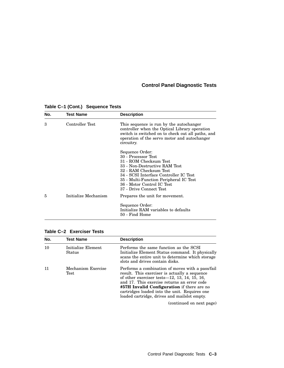| No. | <b>Test Name</b>     | <b>Description</b>                                                                                                                                                                                                                                                       |
|-----|----------------------|--------------------------------------------------------------------------------------------------------------------------------------------------------------------------------------------------------------------------------------------------------------------------|
| 3   | Controller Test      | This sequence is run by the autochanger<br>controller when the Optical Library operation<br>switch is switched on to check out all paths, and<br>operation of the servo motor and autochanger<br>circuitry.                                                              |
|     |                      | Sequence Order:<br>30 - Processor Test<br>31 - ROM Checksum Test<br>33 - Non-Destructive RAM Test<br>32 - RAM Checksum Test<br>34 - SCSI Interface Controller IC Test<br>35 - Multi-Function Peripheral IC Test<br>36 - Motor Control IC Test<br>37 - Drive Connect Test |
| 5   | Initialize Mechanism | Prepares the unit for movement.<br>Sequence Order:<br>Initialize RAM variables to defaults<br>50 - Find Home                                                                                                                                                             |

#### **Table C–1 (Cont.) Sequence Tests**

| Table C-2 Exerciser Tests |  |  |
|---------------------------|--|--|
|---------------------------|--|--|

| No. | <b>Test Name</b>             | <b>Description</b>                                                                                                                                                                                                                                                                                                                                  |
|-----|------------------------------|-----------------------------------------------------------------------------------------------------------------------------------------------------------------------------------------------------------------------------------------------------------------------------------------------------------------------------------------------------|
| 10  | Initialize Element<br>Status | Performs the same function as the SCSI<br>Initialize Element Status command. It physically<br>scans the entire unit to determine which storage<br>slots and drives contain disks.                                                                                                                                                                   |
|     | Mechanism Exercise<br>Test   | Performs a combination of moves with a pass/fail<br>result. This exerciser is actually a sequence<br>of other exerciser tests— $12, 13, 14, 15, 16$ ,<br>and 17. This exercise returns an error code<br>#57H Invalid Configuration if there are no<br>cartridges loaded into the unit. Requires one<br>loaded cartridge, drives and mailslot empty. |
|     |                              | (continued on next page)                                                                                                                                                                                                                                                                                                                            |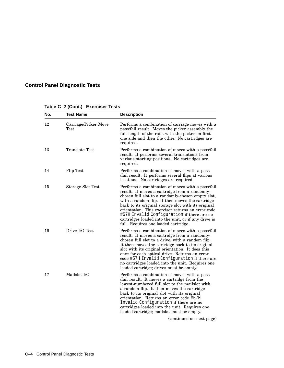| No. | <b>Test Name</b>             | <b>Description</b>                                                                                                                                                                                                                                                                                                                                                                                                                                                 |
|-----|------------------------------|--------------------------------------------------------------------------------------------------------------------------------------------------------------------------------------------------------------------------------------------------------------------------------------------------------------------------------------------------------------------------------------------------------------------------------------------------------------------|
| 12  | Carriage/Picker Move<br>Test | Performs a combination of carriage moves with a<br>pass/fail result. Moves the picker assembly the<br>full length of the rails with the picker on first<br>one side and then the other. No cartridges are<br>required.                                                                                                                                                                                                                                             |
| 13  | Translate Test               | Performs a combination of moves with a pass/fail<br>result. It performs several translations from<br>various starting positions. No cartridges are<br>required.                                                                                                                                                                                                                                                                                                    |
| 14  | Flip Test                    | Performs a combination of moves with a pass<br>/fail result. It performs several flips at various<br>locations. No cartridges are required.                                                                                                                                                                                                                                                                                                                        |
| 15  | Storage Slot Test            | Performs a combination of moves with a pass/fail<br>result. It moves a cartridge from a randomly-<br>chosen full slot to a randomly-chosen empty slot,<br>with a random flip. It then moves the cartridge<br>back to its original storage slot with its original<br>orientation. This exerciser returns an error code<br>#57H Invalid Configuration if there are no<br>cartridges loaded into the unit, or if any drive is<br>full. Requires one loaded cartridge. |
| 16  | Drive I/O Test               | Performs a combination of moves with a pass/fail<br>result. It moves a cartridge from a randomly-<br>chosen full slot to a drive, with a random flip.<br>It then moves the cartridge back to its original<br>slot with its original orientation. It does this<br>once for each optical drive. Returns an error<br>code #57H Invalid Configuration if there are<br>no cartridges loaded into the unit. Requires one<br>loaded cartridge; drives must be empty.      |
| 17  | Mailslot I/O                 | Performs a combination of moves with a pass<br>/fail result. It moves a cartridge from the<br>lowest-numbered full slot to the mailslot with<br>a random flip. It then moves the cartridge<br>back to its original slot with its original<br>orientation. Returns an error code #57H<br>Invalid Configuration if there are no<br>cartridges loaded into the unit. Requires one<br>loaded cartridge; mailslot must be empty.                                        |
|     |                              | (continued on next page)                                                                                                                                                                                                                                                                                                                                                                                                                                           |

#### **Table C–2 (Cont.) Exerciser Tests**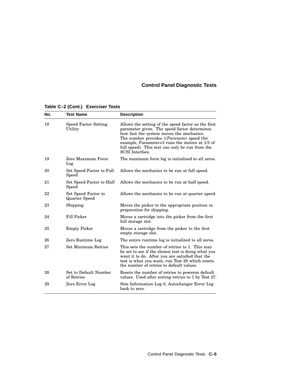| No. | <b>Test Name</b>                            | <b>Description</b>                                                                                                                                                                                                                                                                                                                |
|-----|---------------------------------------------|-----------------------------------------------------------------------------------------------------------------------------------------------------------------------------------------------------------------------------------------------------------------------------------------------------------------------------------|
| 18  | <b>Speed Factor Setting</b><br>Utility      | Allows the setting of the speed factor as the first<br>parameter given. The speed factor determines<br>how fast the system moves the mechanics.<br>The number provides 1/Parameter speed (for<br>example, Parameter= $3$ runs the motors at $1/3$ of<br>full speed). This test can only be run from the<br><b>SCSI</b> Interface. |
| 19  | Zero Maximum Force<br>Log                   | The maximum force log is initialized to all zeros.                                                                                                                                                                                                                                                                                |
| 20  | Set Speed Factor to Full<br>Speed           | Allows the mechanics to be run at full speed.                                                                                                                                                                                                                                                                                     |
| 21  | Set Speed Factor to Half<br>Speed           | Allows the mechanics to be run at half speed.                                                                                                                                                                                                                                                                                     |
| 22  | Set Speed Factor to<br><b>Quarter Speed</b> | Allows the mechanics to be run at quarter speed.                                                                                                                                                                                                                                                                                  |
| 23  | Shipping                                    | Moves the picker to the appropriate position in<br>preparation for shipping.                                                                                                                                                                                                                                                      |
| 24  | Fill Picker                                 | Moves a cartridge into the picker from the first<br>full storage slot.                                                                                                                                                                                                                                                            |
| 25  | <b>Empty Picker</b>                         | Moves a cartridge from the picker to the first<br>empty storage slot.                                                                                                                                                                                                                                                             |
| 26  | Zero Runtime Log                            | The entire runtime log is initialized to all zeros.                                                                                                                                                                                                                                                                               |
| 27  | <b>Set Minimum Retries</b>                  | This sets the number of retries to 1. This may<br>be set to see if the chosen test is doing what you<br>want it to do. After you are satisfied that the<br>test is what you want, run Test 28 which resets<br>the number of retries to default values.                                                                            |
| 28  | Set to Default Number<br>of Retries         | Resets the number of retries to poweron default<br>values. Used after setting retries to 1 by Test 27.                                                                                                                                                                                                                            |
| 29  | Zero Error Log                              | Sets Information Log 0, Autochanger Error Log<br>back to zero.                                                                                                                                                                                                                                                                    |

#### **Table C–2 (Cont.) Exerciser Tests**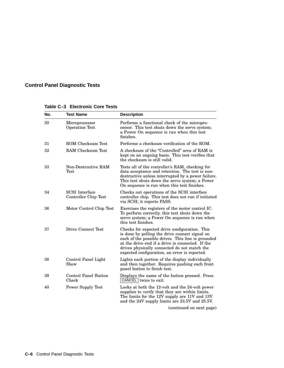| No. | <b>Test Name</b>                              | <b>Description</b>                                                                                                                                                                                                                                                                                         |
|-----|-----------------------------------------------|------------------------------------------------------------------------------------------------------------------------------------------------------------------------------------------------------------------------------------------------------------------------------------------------------------|
| 30  | Microprocessor<br>Operation Test              | Performs a functional check of the micropro-<br>cessor. This test shuts down the servo system;<br>a Power On sequence is run when this test<br>finishes.                                                                                                                                                   |
| 31  | ROM Checksum Test                             | Performs a checksum verification of the ROM.                                                                                                                                                                                                                                                               |
| 32  | RAM Checksum Test                             | A checksum of the "Controlled" area of RAM is<br>kept on an ongoing basis. This test verifies that<br>the checksum is still valid.                                                                                                                                                                         |
| 33  | Non-Destructive RAM<br>Test                   | Tests all of the controller's RAM, checking for<br>data acceptance and retention. The test is non-<br>destructive unless interrupted by a power failure.<br>This test shuts down the servo system; a Power<br>On sequence is run when this test finishes.                                                  |
| 34  | <b>SCSI</b> Interface<br>Controller Chip Test | Checks out operations of the SCSI interface<br>controller chip. This test does not run if initiated<br>via SCSI; it reports PASS.                                                                                                                                                                          |
| 36  | Motor Control Chip Test                       | Exercises the registers of the motor control IC.<br>To perform correctly, this test shuts down the<br>servo system; a Power On sequence is run when<br>this test finishes.                                                                                                                                 |
| 37  | Drive Connect Test                            | Checks for expected drive configuration. This<br>is done by polling the drive connect signal on<br>each of the possible drives. This line is grounded<br>at the drive end if a drive is connected. If the<br>drives physically connected do not match the<br>expected configuration, an error is reported. |
| 38  | Control Panel Light<br>Show                   | Lights each portion of the display individually<br>and then together. Requires pushing each front<br>panel button to finish test.                                                                                                                                                                          |
| 39  | Control Panel Button<br>Check                 | Displays the name of the button pressed. Press<br>CANCEL twice to exit.                                                                                                                                                                                                                                    |
| 40  | <b>Power Supply Test</b>                      | Looks at both the 12-volt and the 24-volt power<br>supplies to verify that they are within limits.<br>The limits for the 12V supply are 11V and 13V<br>and the 24V supply limits are 23.5V and 25.5V.                                                                                                      |
|     |                                               | (continued on next page)                                                                                                                                                                                                                                                                                   |

**Table C–3 Electronic Core Tests**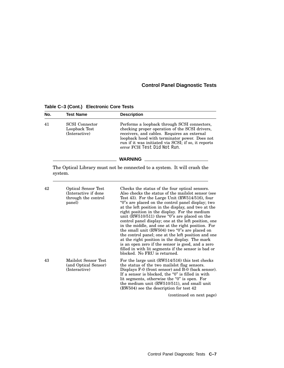**No. Test Name Description** 41 SCSI Connector Loopback Test (Interactive) Performs a loopback through SCSI connectors, checking proper operation of the SCSI drivers, receivers, and cables. Requires an external loopback hood with terminator power. Does not run if it was initiated via SCSI; if so, it reports error FCH Test Did Not Run. **WARNING** The Optical Library must not be connected to a system. It will crash the system. 42 Optical Sensor Test (Interactive if done through the control panel) Checks the status of the four optical sensors. Also checks the status of the mailslot sensor (see Test 43). For the Large Unit (RW514/516), four ''0''s are placed on the control panel display; two at the left position in the display, and two at the right position in the display. For the medium unit (RW510/511) three "0"s are placed on the control panel display; one at the left position, one in the middle, and one at the right position. For the small unit (RW504) two "0"s are placed on the control panel; one at the left position and one at the right position in the display. The mark is an open zero if the sensor is good, and a zero filled in with lit segments if the sensor is bad or blocked. No FRU is returned. 43 Mailslot Sensor Test (and Optical Sensor) (Interactive) For the large unit (RW514/516) this test checks the status of the two mailslot flag sensors. Displays F-0 (front sensor) and B-0 (back sensor). If a sensor is blocked, the " $0$ " is filled in with lit segments, otherwise the "0" is open. For the medium unit (RW510/511), and small unit (RW504) see the description for test 42 (continued on next page)

**Table C–3 (Cont.) Electronic Core Tests**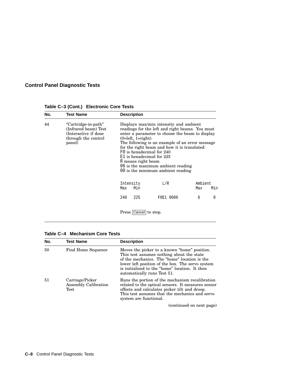| No. | <b>Test Name</b>                                                                                      | <b>Description</b>      |                                                                                                                                                                                                                                                                                                                                                                                                                                     |                |     |  |
|-----|-------------------------------------------------------------------------------------------------------|-------------------------|-------------------------------------------------------------------------------------------------------------------------------------------------------------------------------------------------------------------------------------------------------------------------------------------------------------------------------------------------------------------------------------------------------------------------------------|----------------|-----|--|
| 44  | "Cartridge-in-path"<br>(Infrared beam) Test<br>(Interactive if done)<br>through the control<br>panel) |                         | Displays max/min intensity and ambient<br>readings for the left and right beams. You must<br>enter a parameter to choose the beam to display<br>$(0=left, 1=right).$<br>The following is an example of an error message<br>for the right beam and how it is translated:<br>F0 is hexadecimal for 240<br>$E1$ is hexadecimal for 225<br>R means right beam<br>06 is the maximum ambient reading<br>00 is the minimum ambient reading |                |     |  |
|     |                                                                                                       | Intensity<br>Min<br>Max | L/R                                                                                                                                                                                                                                                                                                                                                                                                                                 | Ambient<br>Max | Min |  |
|     |                                                                                                       | 240<br>225              | F0E1 0600                                                                                                                                                                                                                                                                                                                                                                                                                           | 6              | 0   |  |
|     |                                                                                                       | Press Cancel to stop.   |                                                                                                                                                                                                                                                                                                                                                                                                                                     |                |     |  |

**Table C–3 (Cont.) Electronic Core Tests**

|  | Table C-4 Mechanism Core Tests |  |
|--|--------------------------------|--|
|  |                                |  |

| No. | <b>Test Name</b>                                | <b>Description</b>                                                                                                                                                                                                                                                             |
|-----|-------------------------------------------------|--------------------------------------------------------------------------------------------------------------------------------------------------------------------------------------------------------------------------------------------------------------------------------|
| 50  | Find Home Sequence                              | Moves the picker to a known "home" position.<br>This test assumes nothing about the state<br>of the mechanics. The "home" location is the<br>lower left position of the box. The servo system<br>is initialized to the "home" location. It then<br>automatically runs Test 51. |
| 51  | Carriage/Picker<br>Assembly Calibration<br>Test | Runs the portion of the mechanism recalibration<br>related to the optical sensors. It measures sensor<br>offsets and calculates picker tilt and droop.<br>This test assumes that the mechanics and servo<br>system are functional.                                             |
|     |                                                 | (continued on next page)                                                                                                                                                                                                                                                       |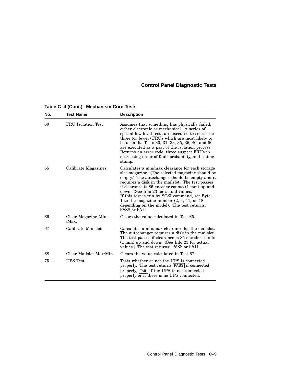| No. | <b>Test Name</b>          | <b>Description</b>                                                                                                                                                                                                                                                                                                                                                                                                                                                    |
|-----|---------------------------|-----------------------------------------------------------------------------------------------------------------------------------------------------------------------------------------------------------------------------------------------------------------------------------------------------------------------------------------------------------------------------------------------------------------------------------------------------------------------|
| 60  | <b>FRU</b> Isolation Test | Assumes that something has physically failed,<br>either electronic or mechanical. A series of<br>special low-level tests are executed to select the<br>three (or fewer) FRUs which are most likely to<br>be at fault. Tests 30, 31, 33, 35, 36, 40, and 50<br>are executed as a part of the isolation process.<br>Returns an error code, three suspect FRUs in<br>decreasing order of fault probability, and a time<br>stamp.                                         |
| 65  | Calibrate Magazines       | Calculates a min/max clearance for each storage<br>slot magazine. (The selected magazine should be<br>empty.) The autochanger should be empty and it<br>requires a disk in the mails ot. The test passes<br>if clearance is 85 encoder counts (1 mm) up and<br>down. (See Info 23 for actual values.)<br>If this test is run by SCSI command, set Byte<br>1 to the magazine number $(2, 4, 11, 0r)$ 18<br>depending on the model). The test returns:<br>PASS or FAIL. |
| 66  | Clear Magazine Min<br>Max | Clears the value calculated in Test 65.                                                                                                                                                                                                                                                                                                                                                                                                                               |
| 67  | Calibrate Mailslot        | Calculates a min/max clearance for the mailslot.<br>The autochanger requires a disk in the mails ot.<br>The test passes if clearance is 85 encoder counts<br>$(1 \text{ mm})$ up and down. (See Info 23 for actual<br>values.) The test returns: PASS or FAIL.                                                                                                                                                                                                        |
| 68  | Clear Mailslot Max/Min    | Clears the value calculated in Test 67.                                                                                                                                                                                                                                                                                                                                                                                                                               |
| 75  | <b>UPS</b> Test           | Tests whether or not the UPS is connected<br>properly. The test returns  PASS  if connected<br>properly, FAIL if the UPS is not connected<br>properly or if there is no UPS connected.                                                                                                                                                                                                                                                                                |

**Table C–4 (Cont.) Mechanism Core Tests**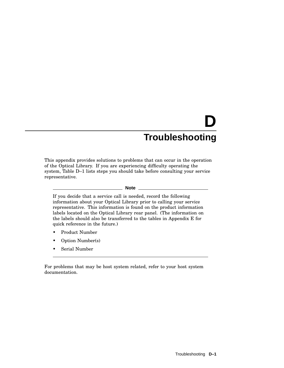This appendix provides solutions to problems that can occur in the operation of the Optical Library. If you are experiencing difficulty operating the system, Table D–1 lists steps you should take before consulting your service representative.

#### **Note**

If you decide that a service call is needed, record the following information about your Optical Library prior to calling your service representative. This information is found on the product information labels located on the Optical Library rear panel. (The information on the labels should also be transferred to the tables in Appendix E for quick reference in the future.)

- Product Number
- Option Number(s)
- Serial Number

For problems that may be host system related, refer to your host system documentation.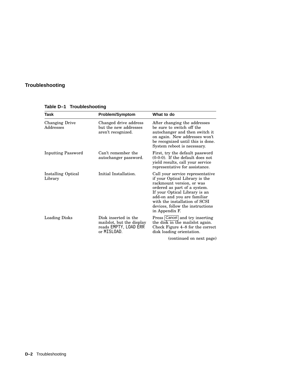| Task                               | <b>Problem/Symptom</b>                                                                    | What to do                                                                                                                                                                                                                                                                             |
|------------------------------------|-------------------------------------------------------------------------------------------|----------------------------------------------------------------------------------------------------------------------------------------------------------------------------------------------------------------------------------------------------------------------------------------|
| <b>Changing Drive</b><br>Addresses | Changed drive address<br>but the new addresses<br>aren't recognized.                      | After changing the addresses<br>be sure to switch off the<br>autochanger and then switch it<br>on again. New addresses won't<br>be recognized until this is done.<br>System reboot is necessary.                                                                                       |
| <b>Inputting Password</b>          | Can't remember the<br>autochanger password.                                               | First, try the default password<br>$(0-0-0)$ . If the default does not<br>yield results, call your service<br>representative for assistance.                                                                                                                                           |
| Installing Optical<br>Library      | Initial Installation.                                                                     | Call your service representative<br>if your Optical Library is the<br>rackmount version, or was<br>ordered as part of a system.<br>If your Optical Library is an<br>add-on and you are familiar<br>with the installation of SCSI<br>devices, follow the instructions<br>in Appendix F. |
| <b>Loading Disks</b>               | Disk inserted in the<br>mailslot, but the display<br>reads EMPTY, LOAD ERR<br>or MISLOAD. | Press Cancel and try inserting<br>the disk in the mails ot again.<br>Check Figure 4–8 for the correct<br>disk loading orientation.                                                                                                                                                     |
|                                    |                                                                                           | (continued on next page)                                                                                                                                                                                                                                                               |

**Table D–1 Troubleshooting**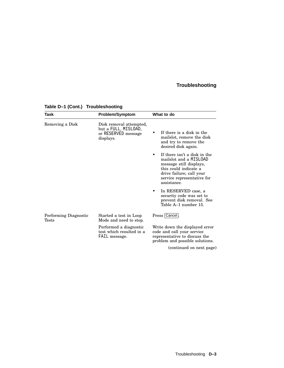| Task                           | <b>Problem/Symptom</b>                                                              | What to do                                                                                                                                                                                       |  |
|--------------------------------|-------------------------------------------------------------------------------------|--------------------------------------------------------------------------------------------------------------------------------------------------------------------------------------------------|--|
| Removing a Disk                | Disk removal attempted,<br>but a FULL, MISLOAD,<br>or RESERVED message<br>displays. | If there is a disk in the<br>mailslot, remove the disk<br>and try to remove the<br>desired disk again.                                                                                           |  |
|                                |                                                                                     | If there isn't a disk in the<br>$\bullet$<br>mailslot and a MISLOAD<br>message still displays,<br>this could indicate a<br>drive failure; call your<br>service representative for<br>assistance. |  |
|                                |                                                                                     | In RESERVED case, a<br>security code was set to<br>prevent disk removal. See<br>Table A-1 number 15.                                                                                             |  |
| Performing Diagnostic<br>Tests | Started a test in Loop<br>Mode and need to stop.                                    | Press Cancel.                                                                                                                                                                                    |  |
|                                | Performed a diagnostic<br>test which resulted in a<br>FAIL message.                 | Write down the displayed error<br>code and call your service<br>representative to discuss the<br>problem and possible solutions.                                                                 |  |

#### **Table D–1 (Cont.) Troubleshooting**

(continued on next page)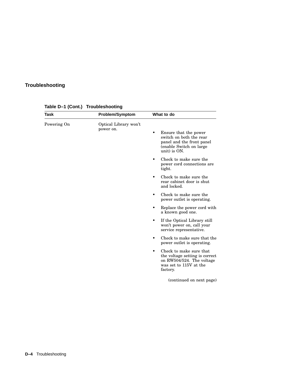| Task        | <b>Problem/Symptom</b>             | What to do                                                                                                                        |  |
|-------------|------------------------------------|-----------------------------------------------------------------------------------------------------------------------------------|--|
| Powering On | Optical Library won't<br>power on. | Ensure that the power<br>٠<br>switch on both the rear<br>panel and the front panel<br>(enable Switch on large<br>unit) is ON.     |  |
|             |                                    | Check to make sure the<br>٠<br>power cord connections are<br>tight.                                                               |  |
|             |                                    | Check to make sure the<br>$\bullet$<br>rear cabinet door is shut<br>and locked.                                                   |  |
|             |                                    | Check to make sure the<br>$\bullet$<br>power outlet is operating.                                                                 |  |
|             |                                    | Replace the power cord with<br>a known good one.                                                                                  |  |
|             |                                    | If the Optical Library still<br>٠<br>won't power on, call your<br>service representative.                                         |  |
|             |                                    | Check to make sure that the<br>٠<br>power outlet is operating.                                                                    |  |
|             |                                    | Check to make sure that<br>٠<br>the voltage setting is correct<br>on RW504/524. The voltage<br>was set to 115V at the<br>factory. |  |
|             |                                    | (continued on next page)                                                                                                          |  |
|             |                                    |                                                                                                                                   |  |

**Table D–1 (Cont.) Troubleshooting**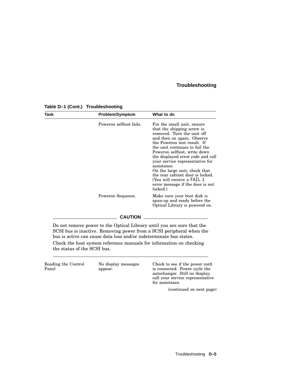| Task | <b>Problem/Symptom</b>                                                                                                                                                                                                                                                                      | What to do                                                                                                                                                                                                                                                                                                                                                                                                                                                       |
|------|---------------------------------------------------------------------------------------------------------------------------------------------------------------------------------------------------------------------------------------------------------------------------------------------|------------------------------------------------------------------------------------------------------------------------------------------------------------------------------------------------------------------------------------------------------------------------------------------------------------------------------------------------------------------------------------------------------------------------------------------------------------------|
|      | Poweron selftest fails.                                                                                                                                                                                                                                                                     | For the small unit, ensure<br>that the shipping screw is<br>removed. Turn the unit off<br>and then on again. Observe<br>the Poweron test result. If<br>the unit continues to fail the<br>Poweron selftest, write down<br>the displayed error code and call<br>your service representative for<br>assistance.<br>On the large unit, check that<br>the rear cabinet door is locked.<br>(You will receive a FAIL 1)<br>error message if the door is not<br>locked.) |
|      | Poweron Sequence.                                                                                                                                                                                                                                                                           | Make sure your boot disk is<br>spun-up and ready before the<br>Optical Library is powered on.                                                                                                                                                                                                                                                                                                                                                                    |
|      | <b>CAUTION</b>                                                                                                                                                                                                                                                                              |                                                                                                                                                                                                                                                                                                                                                                                                                                                                  |
|      | Do not remove power to the Optical Library until you are sure that the<br>SCSI bus is inactive. Removing power from a SCSI peripheral when the<br>bus is active can cause data loss and/or indeterminate bus states.<br>Check the host system reference manuals for information on checking |                                                                                                                                                                                                                                                                                                                                                                                                                                                                  |

#### **Table D–1 (Cont.) Troubleshooting**

the status of the SCSI bus.

Reading the Control Panel No display messages appear. Check to see if the power cord is connected. Power cycle the autochanger. Still no display, call your service representative for assistance.

(continued on next page)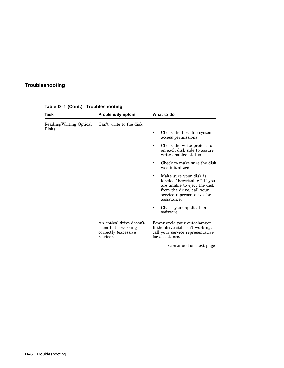| Task                    | <b>Problem/Symptom</b>                                                              | What to do                                                                                                                                                            |
|-------------------------|-------------------------------------------------------------------------------------|-----------------------------------------------------------------------------------------------------------------------------------------------------------------------|
| Reading/Writing Optical | Can't write to the disk.                                                            |                                                                                                                                                                       |
| Disks                   |                                                                                     | Check the host file system<br>access permissions.                                                                                                                     |
|                         |                                                                                     | Check the write-protect tab<br>on each disk side to assure<br>write-enabled status.                                                                                   |
|                         |                                                                                     | Check to make sure the disk<br>was initialized.                                                                                                                       |
|                         |                                                                                     | Make sure your disk is<br>٠<br>labeled "Rewritable." If you<br>are unable to eject the disk<br>from the drive, call your<br>service representative for<br>assistance. |
|                         |                                                                                     | Check your application<br>software.                                                                                                                                   |
|                         | An optical drive doesn't<br>seem to be working<br>correctly (excessive<br>retries). | Power cycle your autochanger.<br>If the drive still isn't working,<br>call your service representative<br>for assistance.                                             |
|                         |                                                                                     | (continued on next page)                                                                                                                                              |

**Table D–1 (Cont.) Troubleshooting**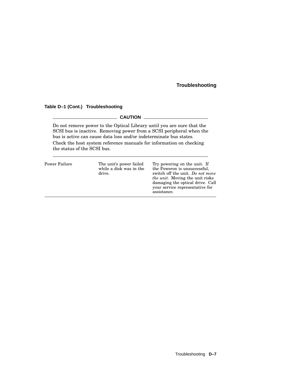#### **Table D–1 (Cont.) Troubleshooting**

#### **CAUTION** 2008

Do not remove power to the Optical Library until you are sure that the SCSI bus is inactive. Removing power from a SCSI peripheral when the bus is active can cause data loss and/or indeterminate bus states. Check the host system reference manuals for information on checking the status of the SCSI bus.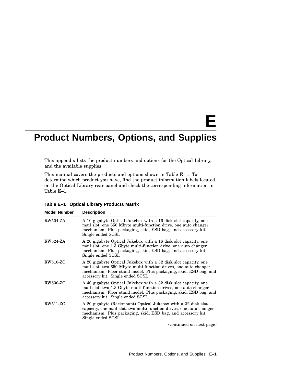# **E**

### **Product Numbers, Options, and Supplies**

This appendix lists the product numbers and options for the Optical Library, and the available supplies.

This manual covers the products and options shown in Table E–1. To determine which product you have, find the product information labels located on the Optical Library rear panel and check the corresponding information in Table E–1.

| <b>Model Number</b> | <b>Description</b>                                                                                                                                                                                                                           |
|---------------------|----------------------------------------------------------------------------------------------------------------------------------------------------------------------------------------------------------------------------------------------|
| <b>RW504-ZA</b>     | A 10 gigabyte Optical Jukebox with a 16 disk slot capacity, one<br>mail slot, one 650 Mbyte multi-function drive, one auto changer<br>mechanism. Plus packaging, skid, ESD bag, and accessory kit.<br>Single ended SCSI.                     |
| <b>RW524-ZA</b>     | A 20 gigabyte Optical Jukebox with a 16 disk slot capacity, one<br>mail slot, one 1.3 Gbyte multi-function drive, one auto changer<br>mechanism. Plus packaging, skid, ESD bag, and accessory kit.<br>Single ended SCSI.                     |
| <b>RW510-ZC</b>     | A 20 gigabyte Optical Jukebox with a 32 disk slot capacity, one<br>mail slot, two 650 Mbyte multi-function drives, one auto changer<br>mechanism. Floor stand model. Plus packaging, skid, ESD bag, and<br>accessory kit. Single ended SCSI. |
| <b>RW530-ZC</b>     | A 40 gigabyte Optical Jukebox with a 32 disk slot capacity, one<br>mail slot, two 1.3 Gbyte multi-function drives, one auto changer<br>mechanism. Floor stand model. Plus packaging, skid, ESD bag, and<br>accessory kit. Single ended SCSI. |
| $RW511-ZC$          | A 20 gigabyte (Rackmount) Optical Jukebox with a 32 disk slot<br>capacity, one mail slot, two multi-function drives, one auto changer<br>mechanism. Plus packaging, skid, ESD bag, and accessory kit.<br>Single ended SCSI.                  |
|                     | (continued on next page)                                                                                                                                                                                                                     |

**Table E–1 Optical Library Products Matrix**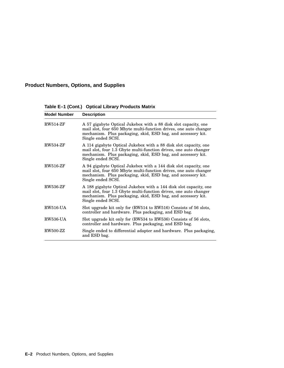#### **Product Numbers, Options, and Supplies**

**Table E–1 (Cont.) Optical Library Products Matrix**

| <b>Model Number</b> | <b>Description</b>                                                                                                                                                                                                           |
|---------------------|------------------------------------------------------------------------------------------------------------------------------------------------------------------------------------------------------------------------------|
| <b>RW514-ZF</b>     | A 57 gigabyte Optical Jukebox with a 88 disk slot capacity, one<br>mail slot, four 650 Mbyte multi-function drives, one auto changer<br>mechanism. Plus packaging, skid, ESD bag, and accessory kit.<br>Single ended SCSI.   |
| <b>RW534-ZF</b>     | A 114 gigabyte Optical Jukebox with a 88 disk slot capacity, one<br>mail slot, four 1.3 Gbyte multi-function drives, one auto changer<br>mechanism. Plus packaging, skid, ESD bag, and accessory kit.<br>Single ended SCSI.  |
| <b>RW516-ZF</b>     | A 94 gigabyte Optical Jukebox with a 144 disk slot capacity, one<br>mail slot, four 650 Mbyte multi-function drives, one auto changer<br>mechanism. Plus packaging, skid, ESD bag, and accessory kit.<br>Single ended SCSI.  |
| <b>RW536-ZF</b>     | A 188 gigabyte Optical Jukebox with a 144 disk slot capacity, one<br>mail slot, four 1.3 Gbyte multi-function drives, one auto changer<br>mechanism. Plus packaging, skid, ESD bag, and accessory kit.<br>Single ended SCSI. |
| <b>RW516-UA</b>     | Slot upgrade kit only for (RW514 to RW516) Consists of 56 slots,<br>controller and hardware. Plus packaging, and ESD bag.                                                                                                    |
| <b>RW536-UA</b>     | Slot upgrade kit only for (RW534 to RW536) Consists of 56 slots,<br>controller and hardware. Plus packaging, and ESD bag.                                                                                                    |
| <b>RW500-ZZ</b>     | Single ended to differential adapter and hardware. Plus packaging,<br>and ESD bag.                                                                                                                                           |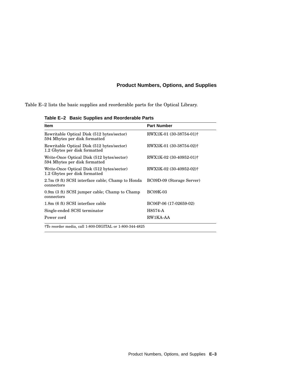#### **Product Numbers, Options, and Supplies**

Table E–2 lists the basic supplies and reorderable parts for the Optical Library.

**Table E–2 Basic Supplies and Reorderable Parts**

| <b>Item</b>                                                                 | <b>Part Number</b>        |  |  |
|-----------------------------------------------------------------------------|---------------------------|--|--|
| Rewritable Optical Disk (512 bytes/sector)<br>594 Mbytes per disk formatted | RWX1K-01 (30-38754-01)†   |  |  |
| Rewritable Optical Disk (512 bytes/sector)<br>1.2 Gbytes per disk formatted | RWX5K-01 (30-38754-02)†   |  |  |
| Write-Once Optical Disk (512 bytes/sector)<br>594 Mbytes per disk formatted | RWX1K-02 (30-40952-01)†   |  |  |
| Write-Once Optical Disk (512 bytes/sector)<br>1.2 Gbytes per disk formatted | RWX5K-02 (30-40952-02)†   |  |  |
| 2.7m (9 ft) SCSI interface cable; Champ to Honda<br>connectors              | BC09D-09 (Storage Server) |  |  |
| 0.9m (3 ft) SCSI jumper cable; Champ to Champ<br>connectors                 | <b>BC09K-03</b>           |  |  |
| 1.8m (6 ft) SCSI interface cable                                            | BC06P-06 (17-02659-02)    |  |  |
| Single-ended SCSI terminator                                                | H8574-A                   |  |  |
| Power cord                                                                  | RW1KA-AA                  |  |  |
| †To reorder media, call 1-800-DIGITAL or 1-800-344-4825                     |                           |  |  |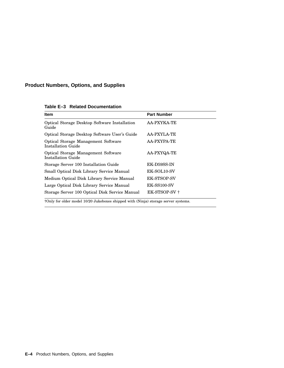#### **Product Numbers, Options, and Supplies**

| <b>Item</b>                                                   | <b>Part Number</b> |
|---------------------------------------------------------------|--------------------|
| <b>Optical Storage Desktop Software Installation</b><br>Guide | AA-PXYKA-TE        |
| Optical Storage Desktop Software User's Guide                 | AA-PXYLA-TE        |
| Optical Storage Management Software<br>Installation Guide     | <b>AA-PXYPA-TE</b> |
| Optical Storage Management Software<br>Installation Guide     | AA-PXYQA-TE        |
| Storage Server 100 Installation Guide                         | EK-D59SS-IN        |
| Small Optical Disk Library Service Manual                     | EK-SOL10-SV        |
| Medium Optical Disk Library Service Manual                    | <b>EK-STSOP-SV</b> |
| Large Optical Disk Library Service Manual                     | <b>EK-SS100-SV</b> |
| Storage Server 100 Optical Disk Service Manual                | EK-STSOP-SV+       |

**Table E–3 Related Documentation**

†Only for older model 10/20 Jukeboxes shipped with (Ninja) storage server systems.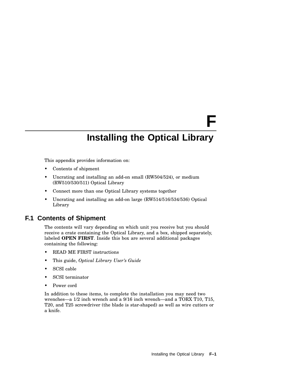# **F**

### **Installing the Optical Library**

This appendix provides information on:

- Contents of shipment
- Uncrating and installing an add-on small (RW504/524), or medium (RW510/530/511) Optical Library
- Connect more than one Optical Library systems together
- Uncrating and installing an add-on large (RW514/516/534/536) Optical Library

#### **F.1 Contents of Shipment**

The contents will vary depending on which unit you receive but you should receive a crate containing the Optical Library, and a box, shipped separately, labeled **OPEN FIRST**. Inside this box are several additional packages containing the following:

- READ ME FIRST instructions
- This guide, *Optical Library User's Guide*
- SCSI cable
- SCSI terminator
- Power cord

In addition to these items, to complete the installation you may need two wrenches—a 1/2 inch wrench and a 9/16 inch wrench—and a TORX T10, T15, T20, and T25 screwdriver (the blade is star-shaped) as well as wire cutters or a knife.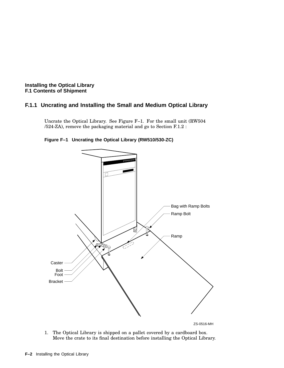#### **F.1.1 Uncrating and Installing the Small and Medium Optical Library**

Uncrate the Optical Library. See Figure F–1. For the small unit (RW504 /524-ZA), remove the packaging material and go to Section F.1.2 :

**Figure F–1 Uncrating the Optical Library (RW510/530-ZC)**



ZS-0516-MH

1. The Optical Library is shipped on a pallet covered by a cardboard box. Move the crate to its final destination before installing the Optical Library.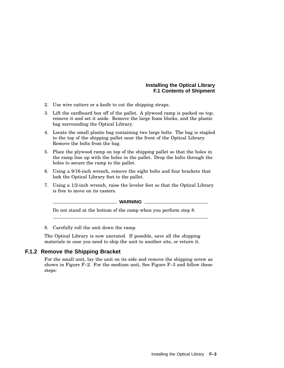- 2. Use wire cutters or a knife to cut the shipping straps.
- 3. Lift the cardboard box off of the pallet. A plywood ramp is packed on top; remove it and set it aside. Remove the large foam blocks, and the plastic bag surrounding the Optical Library.
- 4. Locate the small plastic bag containing two large bolts. The bag is stapled to the top of the shipping pallet near the front of the Optical Library. Remove the bolts from the bag.
- 5. Place the plywood ramp on top of the shipping pallet so that the holes in the ramp line up with the holes in the pallet. Drop the bolts through the holes to secure the ramp to the pallet.
- 6. Using a 9/16-inch wrench, remove the eight bolts and four brackets that lock the Optical Library feet to the pallet.
- 7. Using a 1/2-inch wrench, raise the leveler feet so that the Optical Library is free to move on its casters.

#### **WARNING**

Do not stand at the bottom of the ramp when you perform step 8.

8. Carefully roll the unit down the ramp.

The Optical Library is now uncrated. If possible, save all the shipping materials in case you need to ship the unit to another site, or return it.

#### **F.1.2 Remove the Shipping Bracket**

For the small unit, lay the unit on its side and remove the shipping screw as shown in Figure  $F-2$ . For the medium unit, See Figure  $F-3$  and follow these steps: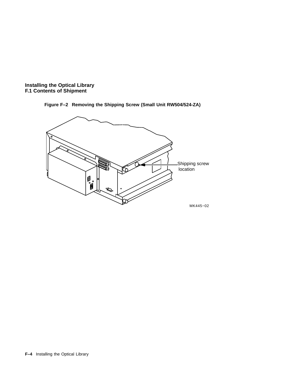

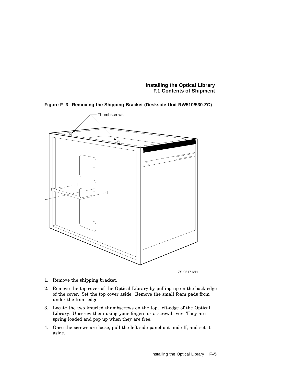

**Figure F–3 Removing the Shipping Bracket (Deskside Unit RW510/530-ZC)**

ZS-0517-MH

- 1. Remove the shipping bracket.
- 2. Remove the top cover of the Optical Library by pulling up on the back edge of the cover. Set the top cover aside. Remove the small foam pads from under the front edge.
- 3. Locate the two knurled thumbscrews on the top, left-edge of the Optical Library. Unscrew them using your fingers or a screwdriver. They are spring loaded and pop up when they are free.
- 4. Once the screws are loose, pull the left side panel out and off, and set it aside.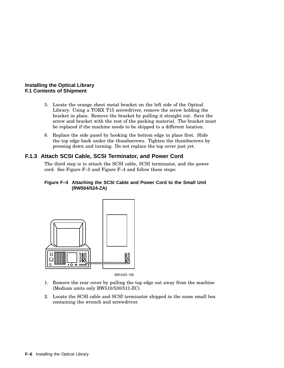- 5. Locate the orange sheet metal bracket on the left side of the Optical Library. Using a TORX T15 screwdriver, remove the screw holding the bracket in place. Remove the bracket by pulling it straight out. Save the screw and bracket with the rest of the packing material. The bracket must be replaced if the machine needs to be shipped to a different location.
- 6. Replace the side panel by hooking the bottom edge in place first. Slide the top edge back under the thumbscrews. Tighten the thumbscrews by pressing down and turning. Do not replace the top cover just yet.

#### **F.1.3 Attach SCSI Cable, SCSI Terminator, and Power Cord**

The third step is to attach the SCSI cable, SCSI terminator, and the power cord. See Figure F–5 and Figure F–4 and follow these steps:

#### **Figure F–4 Attaching the SCSI Cable and Power Cord to the Small Unit (RW504/524-ZA)**



MK445−06

- 1. Remove the rear cover by pulling the top edge out away from the machine (Medium units only RW510/530/511-ZC).
- 2. Locate the SCSI cable and SCSI terminator shipped in the same small box containing the wrench and screwdriver.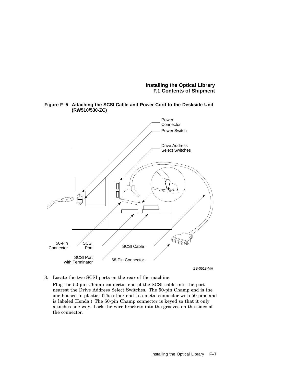

**Figure F–5 Attaching the SCSI Cable and Power Cord to the Deskside Unit (RW510/530-ZC)**

- ZS-0518-MH
- 3. Locate the two SCSI ports on the rear of the machine.

Plug the 50-pin Champ connector end of the SCSI cable into the port nearest the Drive Address Select Switches. The 50-pin Champ end is the one housed in plastic. (The other end is a metal connector with 50 pins and is labeled Honda.) The 50-pin Champ connector is keyed so that it only attaches one way. Lock the wire brackets into the grooves on the sides of the connector.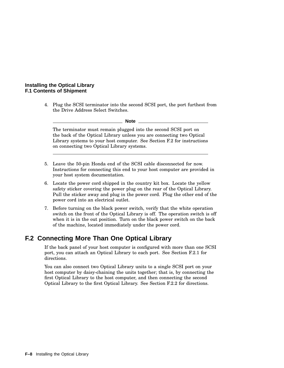4. Plug the SCSI terminator into the second SCSI port, the port furthest from the Drive Address Select Switches.

#### **Note**

The terminator must remain plugged into the second SCSI port on the back of the Optical Library unless you are connecting two Optical Library systems to your host computer. See Section F.2 for instructions on connecting two Optical Library systems.

- 5. Leave the 50-pin Honda end of the SCSI cable disconnected for now. Instructions for connecting this end to your host computer are provided in your host system documentation.
- 6. Locate the power cord shipped in the country kit box. Locate the yellow safety sticker covering the power plug on the rear of the Optical Library. Pull the sticker away and plug in the power cord. Plug the other end of the power cord into an electrical outlet.
- 7. Before turning on the black power switch, verify that the white operation switch on the front of the Optical Library is off. The operation switch is off when it is in the out position. Turn on the black power switch on the back of the machine, located immediately under the power cord.

#### **F.2 Connecting More Than One Optical Library**

If the back panel of your host computer is configured with more than one SCSI port, you can attach an Optical Library to each port. See Section F.2.1 for directions.

You can also connect two Optical Library units to a single SCSI port on your host computer by daisy-chaining the units together; that is, by connecting the first Optical Library to the host computer, and then connecting the second Optical Library to the first Optical Library. See Section F.2.2 for directions.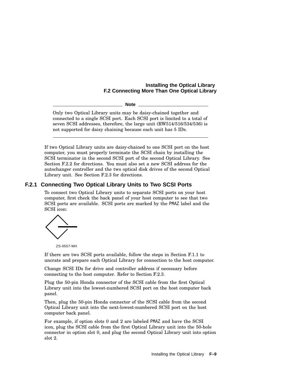**Note**

Only two Optical Library units may be daisy-chained together and connected to a single SCSI port. Each SCSI port is limited to a total of seven SCSI addresses, therefore, the large unit (RW514/516/534/536) is not supported for daisy chaining because each unit has 5 IDs.

If two Optical Library units are daisy-chained to one SCSI port on the host computer, you must properly terminate the SCSI chain by installing the SCSI terminator in the second SCSI port of the second Optical Library. See Section F.2.2 for directions. You must also set a new SCSI address for the autochanger controller and the two optical disk drives of the second Optical Library unit. See Section F.2.3 for directions.

### **F.2.1 Connecting Two Optical Library Units to Two SCSI Ports**

To connect two Optical Library units to separate SCSI ports on your host computer, first check the back panel of your host computer to see that two SCSI ports are available. SCSI ports are marked by the PMAZ label and the SCSI icon:



ZS-0557-MH

If there are two SCSI ports available, follow the steps in Section F.1.1 to uncrate and prepare each Optical Library for connection to the host computer.

Change SCSI IDs for drive and controller address if necessary before connecting to the host computer. Refer to Section F.2.3.

Plug the 50-pin Honda connector of the SCSI cable from the first Optical Library unit into the lowest-numbered SCSI port on the host computer back panel.

Then, plug the 50-pin Honda connector of the SCSI cable from the second Optical Library unit into the next-lowest-numbered SCSI port on the host computer back panel.

For example, if option slots 0 and 2 are labeled PMAZ and have the SCSI icon, plug the SCSI cable from the first Optical Library unit into the 50-hole connector in option slot 0, and plug the second Optical Library unit into option slot 2.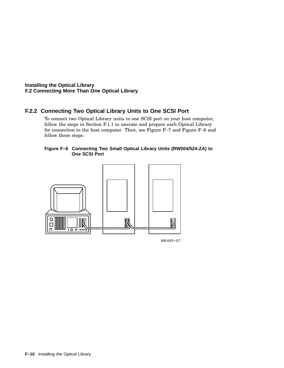### **F.2.2 Connecting Two Optical Library Units to One SCSI Port**

To connect two Optical Library units to one SCSI port on your host computer, follow the steps in Section F.1.1 to uncrate and prepare each Optical Library for connection to the host computer. Then, see Figure F–7 and Figure F–6 and follow these steps:

#### **Figure F–6 Connecting Two Small Optical Library Units (RW504/524-ZA) to One SCSI Port**



MK445−07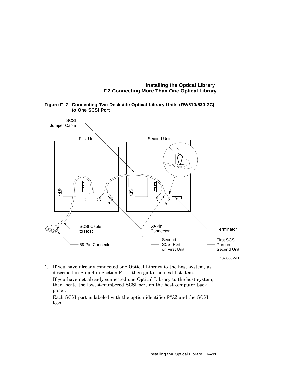

**Figure F–7 Connecting Two Deskside Optical Library Units (RW510/530-ZC) to One SCSI Port**

1. If you have already connected one Optical Library to the host system, as described in Step 4 in Section F.1.1, then go to the next list item.

If you have not already connected one Optical Library to the host system, then locate the lowest-numbered SCSI port on the host computer back panel.

Each SCSI port is labeled with the option identifier PMAZ and the SCSI icon: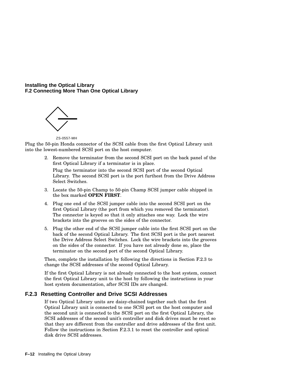

ZS-0557-MH

Plug the 50-pin Honda connector of the SCSI cable from the first Optical Library unit into the lowest-numbered SCSI port on the host computer.

> 2. Remove the terminator from the second SCSI port on the back panel of the first Optical Library if a terminator is in place.

Plug the terminator into the second SCSI port of the second Optical Library. The second SCSI port is the port furthest from the Drive Address Select Switches.

- 3. Locate the 50-pin Champ to 50-pin Champ SCSI jumper cable shipped in the box marked **OPEN FIRST**.
- 4. Plug one end of the SCSI jumper cable into the second SCSI port on the first Optical Library (the port from which you removed the terminator). The connector is keyed so that it only attaches one way. Lock the wire brackets into the grooves on the sides of the connector.
- 5. Plug the other end of the SCSI jumper cable into the first SCSI port on the back of the second Optical Library. The first SCSI port is the port nearest the Drive Address Select Switches. Lock the wire brackets into the grooves on the sides of the connector. If you have not already done so, place the terminator on the second port of the second Optical Library.

Then, complete the installation by following the directions in Section F.2.3 to change the SCSI addresses of the second Optical Library.

If the first Optical Library is not already connected to the host system, connect the first Optical Library unit to the host by following the instructions in your host system documentation, after SCSI IDs are changed.

### **F.2.3 Resetting Controller and Drive SCSI Addresses**

If two Optical Library units are daisy-chained together such that the first Optical Library unit is connected to one SCSI port on the host computer and the second unit is connected to the SCSI port on the first Optical Library, the SCSI addresses of the second unit's controller and disk drives must be reset so that they are different from the controller and drive addresses of the first unit. Follow the instructions in Section F.2.3.1 to reset the controller and optical disk drive SCSI addresses.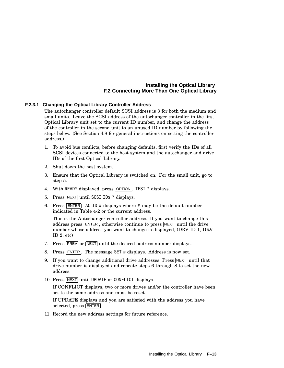#### **F.2.3.1 Changing the Optical Library Controller Address**

The autochanger controller default SCSI address is 3 for both the medium and small units. Leave the SCSI address of the autochanger controller in the first Optical Library unit set to the current ID number, and change the address of the controller in the second unit to an unused ID number by following the steps below. (See Section 4.8 for general instructions on setting the controller address.)

- 1. To avoid bus conflicts, before changing defaults, first verify the IDs of all SCSI devices connected to the host system and the autochanger and drive IDs of the first Optical Library.
- 2. Shut down the host system.
- 3. Ensure that the Optical Library is switched on. For the small unit, go to step 5.
- 4. With READY displayed, press OPTION. TEST \* displays.
- 5. Press NEXT until SCSI IDs \* displays.
- 6. Press  $\overline{\text{ENTER}}$ . AC ID # displays where # may be the default number indicated in Table 4-2 or the current address.

This is the Autochanger controller address. If you want to change this address press  $\overline{\text{ENTER}}$ , otherwise continue to press  $\overline{\text{NEXT}}$  until the drive number whose address you want to change is displayed, (DRV ID 1, DRV ID 2, etc)

- 7. Press **PREV** or **NEXT** until the desired address number displays.
- 8. Press ENTER. The message SET # displays. Address is now set.
- 9. If you want to change additional drive addresses, Press NEXT until that drive number is displayed and repeate steps 6 through 8 to set the new address.
- 10. Press NEXT until UPDATE or CONFLICT displays.

If CONFLICT displays, two or more drives and/or the controller have been set to the same address and must be reset.

If UPDATE displays and you are satisfied with the address you have selected, press ENTER.

11. Record the new address settings for future reference.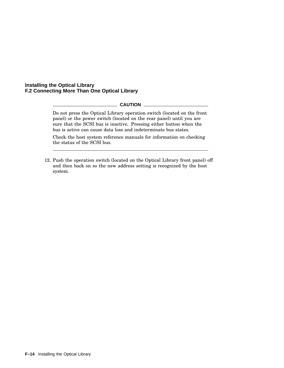#### **CAUTION**

Do not press the Optical Library operation switch (located on the front panel) or the power switch (located on the rear panel) until you are sure that the SCSI bus is inactive. Pressing either button when the bus is active can cause data loss and indeterminate bus states.

Check the host system reference manuals for information on checking the status of the SCSI bus.

12. Push the operation switch (located on the Optical Library front panel) off and then back on so the new address setting is recognized by the host system.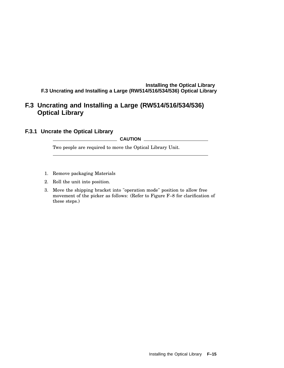# **F.3 Uncrating and Installing a Large (RW514/516/534/536) Optical Library**

### **F.3.1 Uncrate the Optical Library**

#### **CAUTION**

Two people are required to move the Optical Library Unit.

- 1. Remove packaging Materials
- 2. Roll the unit into position.
- 3. Move the shipping bracket into "operation mode" position to allow free movement of the picker as follows: (Refer to Figure F–8 for clarification of these steps.)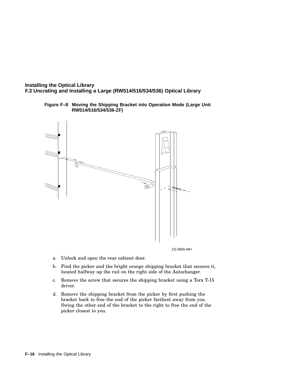**Figure F–8 Moving the Shipping Bracket into Operation Mode (Large Unit RW514/516/534/536-ZF)**



ZS-0665-MH

- a. Unlock and open the rear cabinet door.
- b. Find the picker and the bright orange shipping bracket that secures it, located halfway up the rail on the right side of the Autochanger.
- c. Remove the screw that secures the shipping bracket using a Torx T-15 driver.
- d. Remove the shipping bracket from the picker by first pushing the bracket back to free the end of the picker farthest away from you. Swing the other end of the bracket to the right to free the end of the picker closest to you.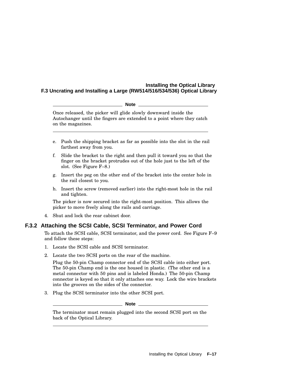#### **Note**

Once released, the picker will glide slowly downward inside the Autochanger until the fingers are extended to a point where they catch on the magazines.

- e. Push the shipping bracket as far as possible into the slot in the rail farthest away from you.
- f. Slide the bracket to the right and then pull it toward you so that the finger on the bracket protrudes out of the hole just to the left of the slot. (See Figure F–8.)
- g. Insert the peg on the other end of the bracket into the center hole in the rail closest to you.
- h. Insert the screw (removed earlier) into the right-most hole in the rail and tighten.

The picker is now secured into the right-most position. This allows the picker to move freely along the rails and carriage.

4. Shut and lock the rear cabinet door.

#### **F.3.2 Attaching the SCSI Cable, SCSI Terminator, and Power Cord**

To attach the SCSI cable, SCSI terminator, and the power cord. See Figure F–9 and follow these steps:

- 1. Locate the SCSI cable and SCSI terminator.
- 2. Locate the two SCSI ports on the rear of the machine.

Plug the 50-pin Champ connector end of the SCSI cable into either port. The 50-pin Champ end is the one housed in plastic. (The other end is a metal connector with 50 pins and is labeled Honda.) The 50-pin Champ connector is keyed so that it only attaches one way. Lock the wire brackets into the grooves on the sides of the connector.

3. Plug the SCSI terminator into the other SCSI port.

**Note**

The terminator must remain plugged into the second SCSI port on the back of the Optical Library.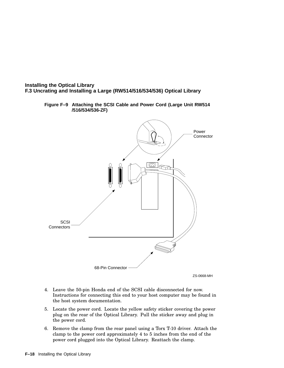

**Figure F–9 Attaching the SCSI Cable and Power Cord (Large Unit RW514 /516/534/536-ZF)**

4. Leave the 50-pin Honda end of the SCSI cable disconnected for now. Instructions for connecting this end to your host computer may be found in the host system documentation.

ZS-0668-MH

- 5. Locate the power cord. Locate the yellow safety sticker covering the power plug on the rear of the Optical Library. Pull the sticker away and plug in the power cord.
- 6. Remove the clamp from the rear panel using a Torx T-10 driver. Attach the clamp to the power cord approximately 4 to 5 inches from the end of the power cord plugged into the Optical Library. Reattach the clamp.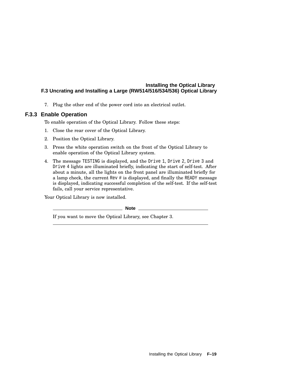7. Plug the other end of the power cord into an electrical outlet.

#### **F.3.3 Enable Operation**

To enable operation of the Optical Library. Follow these steps:

- 1. Close the rear cover of the Optical Library.
- 2. Position the Optical Library.
- 3. Press the white operation switch on the front of the Optical Library to enable operation of the Optical Library system.
- 4. The message TESTING is displayed, and the Drive 1, Drive 2, Drive 3 and Drive 4 lights are illuminated briefly, indicating the start of self-test. After about a minute, all the lights on the front panel are illuminated briefly for a lamp check, the current Rev # is displayed, and finally the READY message is displayed, indicating successful completion of the self-test. If the self-test fails, call your service representative.

Your Optical Library is now installed.

**Note**

If you want to move the Optical Library, see Chapter 3.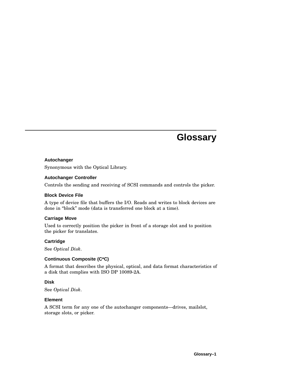# **Glossary**

#### **Autochanger**

Synonymous with the Optical Library.

#### **Autochanger Controller**

Controls the sending and receiving of SCSI commands and controls the picker.

#### **Block Device File**

A type of device file that buffers the I/O. Reads and writes to block devices are done in ''block'' mode (data is transferred one block at a time).

#### **Carriage Move**

Used to correctly position the picker in front of a storage slot and to position the picker for translates.

#### **Cartridge**

See *Optical Disk*.

#### **Continuous Composite (C\*C)**

A format that describes the physical, optical, and data format characteristics of a disk that complies with ISO DP 10089-2A.

#### **Disk**

See *Optical Disk*.

#### **Element**

A SCSI term for any one of the autochanger components—drives, mailslot, storage slots, or picker.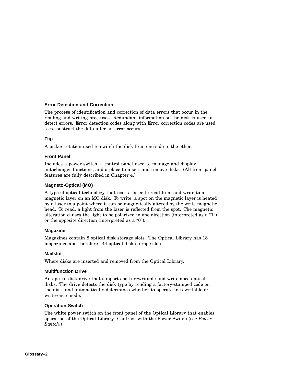#### **Error Detection and Correction**

The process of identification and correction of data errors that occur in the reading and writing processes. Redundant information on the disk is used to detect errors. Error detection codes along with Error correction codes are used to reconstruct the data after an error occurs.

#### **Flip**

A picker rotation used to switch the disk from one side to the other.

#### **Front Panel**

Includes a power switch, a control panel used to manage and display autochanger functions, and a place to insert and remove disks. (All front panel features are fully described in Chapter 4.)

#### **Magneto-Optical (MO)**

A type of optical technology that uses a laser to read from and write to a magnetic layer on an MO disk. To write, a spot on the magnetic layer is heated by a laser to a point where it can be magnetically altered by the write magnetic head. To read, a light from the laser is reflected from the spot. The magnetic alteration causes the light to be polarized in one direction (interpreted as a " $1$ ") or the opposite direction (interpreted as a "0").

#### **Magazine**

Magazines contain 8 optical disk storage slots. The Optical Library has 18 magazines and therefore 144 optical disk storage slots.

#### **Mailslot**

Where disks are inserted and removed from the Optical Library.

#### **Multifunction Drive**

An optical disk drive that supports both rewritable and write-once optical disks. The drive detects the disk type by reading a factory-stamped code on the disk, and automatically determines whether to operate in rewritable or write-once mode.

#### **Operation Switch**

The white power switch on the front panel of the Optical Library that enables operation of the Optical Library. Contrast with the Power Switch (see *Power Switch*.)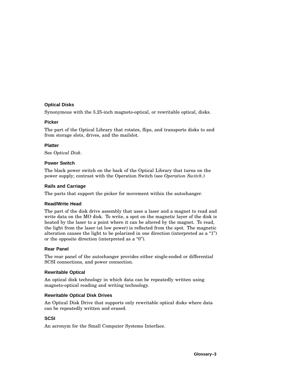#### **Optical Disks**

Synonymous with the 5.25-inch magneto-optical, or rewritable optical, disks.

#### **Picker**

The part of the Optical Library that rotates, flips, and transports disks to and from storage slots, drives, and the mailslot.

#### **Platter**

See *Optical Disk*.

#### **Power Switch**

The black power switch on the back of the Optical Library that turns on the power supply; contrast with the Operation Switch (see *Operation Switch*.)

#### **Rails and Carriage**

The parts that support the picker for movement within the autochanger.

#### **Read/Write Head**

The part of the disk drive assembly that uses a laser and a magnet to read and write data on the MO disk. To write, a spot on the magnetic layer of the disk is heated by the laser to a point where it can be altered by the magnet. To read, the light from the laser (at low power) is reflected from the spot. The magnetic alteration causes the light to be polarized in one direction (interpreted as a ''1'') or the opposite direction (interpreted as a ''0'').

#### **Rear Panel**

The rear panel of the autochanger provides either single-ended or differential SCSI connections, and power connection.

#### **Rewritable Optical**

An optical disk technology in which data can be repeatedly written using magneto-optical reading and writing technology.

#### **Rewritable Optical Disk Drives**

An Optical Disk Drive that supports only rewritable optical disks where data can be repeatedly written and erased.

#### **SCSI**

An acronym for the Small Computer Systems Interface.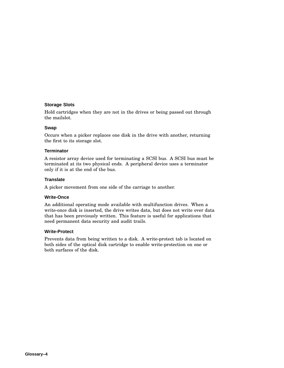#### **Storage Slots**

Hold cartridges when they are not in the drives or being passed out through the mailslot.

#### **Swap**

Occurs when a picker replaces one disk in the drive with another, returning the first to its storage slot.

#### **Terminator**

A resistor array device used for terminating a SCSI bus. A SCSI bus must be terminated at its two physical ends. A peripheral device uses a terminator only if it is at the end of the bus.

#### **Translate**

A picker movement from one side of the carriage to another.

#### **Write-Once**

An additional operating mode available with multifunction drives. When a write-once disk is inserted, the drive writes data, but does not write over data that has been previously written. This feature is useful for applications that need permanent data security and audit trails.

#### **Write-Protect**

Prevents data from being written to a disk. A write-protect tab is located on both sides of the optical disk cartridge to enable write-protection on one or both surfaces of the disk.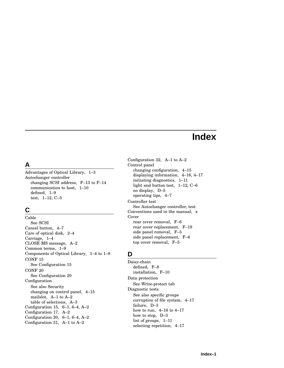# **Index**

# **A**

Advantages of Optical Library, 1–3 Autochanger controller changing SCSI address, F–13 to F–14 communication to host, 1–10 defined, 1–9 test, 1–12, C–3

# **C**

Cable See SCSI Cancel button, 4–7 Care of optical disk, 2–4 Carriage, 1–4 CLOSE MS message, A–2 Common terms, 1–9 Components of Optical Library, 1–4 to 1–8 CONF 15 See Configuration 15 CONF 20 See Configuration 20 Configuration See also Security changing on control panel, 4–15 mailslot, A–1 to A–2 table of selections, A–3 Configuration 15, 6–1, 6–4, A–2 Configuration 17, A–2 Configuration 20, 6–1, 6–4, A–2 Configuration 31, A–1 to A–2

Configuration 32, A–1 to A–2 Control panel changing configuration, 4–15 displaying information, 4–16, 4–17 initiating diagnostics, 1–11 light and button test, 1–12, C–6 no display, D–5 operating tips, 4–7 Controller test See Autochanger controller, test Conventions used in the manual, x Cover rear cover removal, F–6 rear cover replacement, F–19 side panel removal, F–5 side panel replacement, F–6 top cover removal, F–5

## **D**

Daisy-chain defined, F–8 installation, F–10 Data protection See Write-protect tab Diagnostic tests See also specific groups corruption of file system, 4–17 failure, D–3 how to run, 4–16 to 4–17 how to stop, D–3 list of groups, 1–11 selecting repetition, 4–17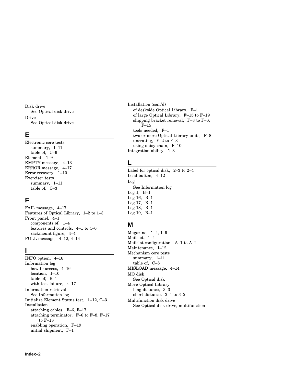Disk drive See Optical disk drive Drive See Optical disk drive

## **E**

Electronic core tests summary, 1–11 table of, C–6 Element, 1–9 EMPTY message, 4–13 ERROR message, 4–17 Error recovery, 1–10 Exerciser tests summary, 1–11 table of, C–3

## **F**

FAIL message, 4–17 Features of Optical Library, 1–2 to 1–3 Front panel, 4–1 components of, 1–4 features and controls, 4–1 to 4–6 rackmount figure, 4–4 FULL message, 4–12, 4–14

## **I**

INFO option, 4–16 Information log how to access, 4–16 location, 1–10 table of, B–1 with test failure, 4–17 Information retrieval See Information log Initialize Element Status test, 1–12, C–3 Installation attaching cables, F–6, F–17 attaching terminator, F–6 to F–8, F–17 to F–18 enabling operation, F–19 initial shipment, F–1

Installation (cont'd) of deskside Optical Library, F–1 of large Optical Library, F–15 to F–19 shipping bracket removal, F–3 to F–6, F–15 tools needed, F–1 two or more Optical Library units, F–8 uncrating, F–2 to F–3 using daisy-chain, F–10 Integration ability, 1–3

# **L**

Label for optical disk, 2–3 to 2–4 Load button, 4–12 Log See Information log Log 1, B–1 Log 16, B–1 Log 17, B–1 Log 18, B–1 Log 19, B–1

## **M**

Magazine, 1–4, 1–9 Mailslot, 1–4 Mailslot configuration, A–1 to A–2 Maintenance, 1–12 Mechanism core tests summary, 1–11 table of, C–8 MISLOAD message, 4–14 MO disk See Optical disk Move Optical Library long distance, 3–3 short distance, 3–1 to 3–2 Multifunction disk drive See Optical disk drive, multifunction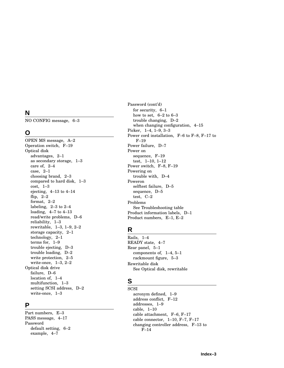# **N**

NO CONFIG message, 6–3

### **O**

OPEN MS message, A–2 Operation switch, F–19 Optical disk advantages, 2–1 as secondary storage, 1–3 care of, 2–4 case, 2–1 choosing brand, 2–3 compared to hard disk, 1–3 cost, 1–3 ejecting, 4–13 to 4–14 flip, 2–2 format, 2–2 labeling, 2–3 to 2–4 loading, 4–7 to 4–13 read/write problems, D–6 reliability, 1–3 rewritable, 1–3 , 1–9 , 2–2 storage capacity, 2–1 technology, 2–1 terms for, 1–9 trouble ejecting, D–3 trouble loading, D–2 write protection, 2–5 write-once, 1–3 , 2–2 Optical disk drive failure, D–6 locatio n of, 1–4 multifunction, 1–3 setting SCSI address, D–2 write-once, 1–3

## **P**

Part numbers, E–3 PASS message, 4–17 Password default setting, 6–2 example, 4–7

Password (cont'd ) for security, 6–1 how to set, 6–2 to 6–3 trouble changing, D–2 when changing configuration, 4–15 Picker, 1–4 , 1–9 , 3–3 Power cord installation, F–6 to F–8 , F–17 to F–19 Power failure, D–7 Power on sequence, F–19 test, 1–10 , 1–12 Power switch, F–8 , F–19 Powering on trouble with, D–4 Poweron selftest failure, D–5 sequence, D–5 test, C–2 Problems See Troubleshooting tabl e Product informatio n labels, D–1 Product numbers, E–1 , E–2

# **R**

Rails, 1–4 READY state, 4–7 Rear panel, 5–1 components of, 1–4 , 5–1 rackmount figure, 5–3 Rewritable disk See Optical disk, rewritable

# **S**

**SCSI** acronym defined, 1–9 address conflict, F–12 addresses, 1–9 cable, 1–10 cable attachment, F–6 , F–17 cable connector, 1–10 , F–7 , F–17 changing controller address, F–13 to F–14